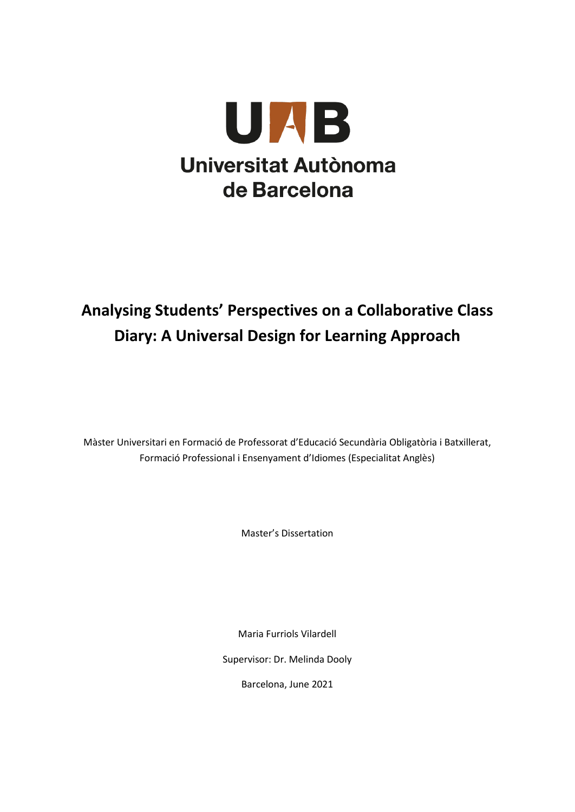

# **Analysing Students' Perspectives on a Collaborative Class Diary: A Universal Design for Learning Approach**

Màster Universitari en Formació de Professorat d'Educació Secundària Obligatòria i Batxillerat, Formació Professional i Ensenyament d'Idiomes (Especialitat Anglès)

Master's Dissertation

Maria Furriols Vilardell

Supervisor: Dr. Melinda Dooly

Barcelona, June 2021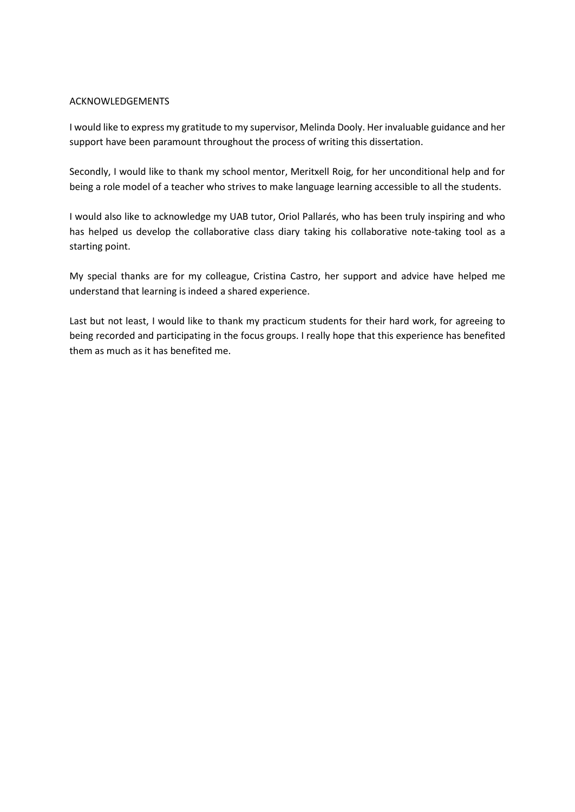# ACKNOWLEDGEMENTS

I would like to express my gratitude to my supervisor, Melinda Dooly. Her invaluable guidance and her support have been paramount throughout the process of writing this dissertation.

Secondly, I would like to thank my school mentor, Meritxell Roig, for her unconditional help and for being a role model of a teacher who strives to make language learning accessible to all the students.

I would also like to acknowledge my UAB tutor, Oriol Pallarés, who has been truly inspiring and who has helped us develop the collaborative class diary taking his collaborative note-taking tool as a starting point.

My special thanks are for my colleague, Cristina Castro, her support and advice have helped me understand that learning is indeed a shared experience.

Last but not least, I would like to thank my practicum students for their hard work, for agreeing to being recorded and participating in the focus groups. I really hope that this experience has benefited them as much as it has benefited me.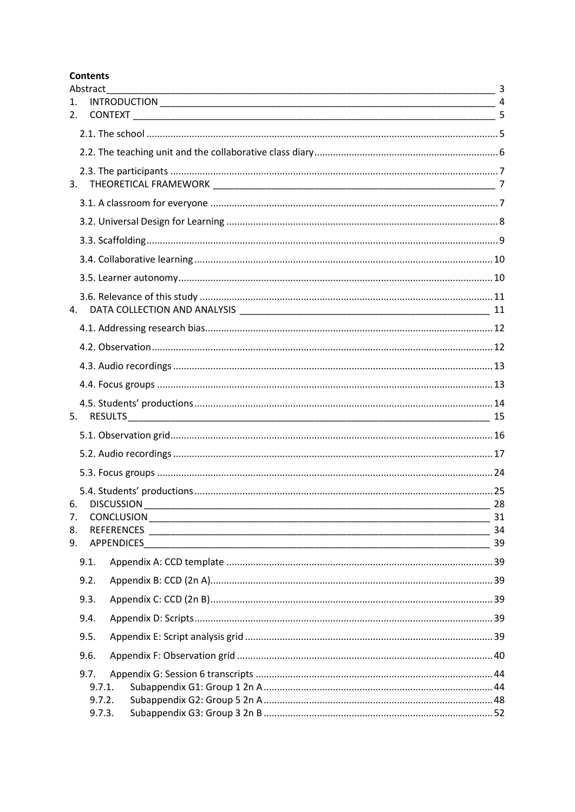# **Contents**

| 1. |                                    |    |
|----|------------------------------------|----|
|    | 2.                                 |    |
|    |                                    |    |
|    |                                    |    |
|    |                                    |    |
|    |                                    |    |
|    |                                    |    |
|    |                                    |    |
|    |                                    |    |
|    |                                    |    |
|    |                                    |    |
|    |                                    |    |
|    |                                    |    |
|    |                                    |    |
|    |                                    |    |
|    |                                    |    |
|    |                                    |    |
|    |                                    |    |
|    |                                    |    |
|    |                                    |    |
|    |                                    |    |
|    |                                    |    |
| 6. |                                    |    |
|    | 31                                 |    |
| 8. |                                    | 34 |
| 9. | APPENDICES                         |    |
|    | 9.1.                               |    |
|    | 9.2.                               |    |
|    | 9.3.                               |    |
|    | 9.4.                               |    |
|    | 9.5.                               |    |
|    | 9.6.                               |    |
|    | 9.7.<br>9.7.1.<br>9.7.2.<br>9.7.3. |    |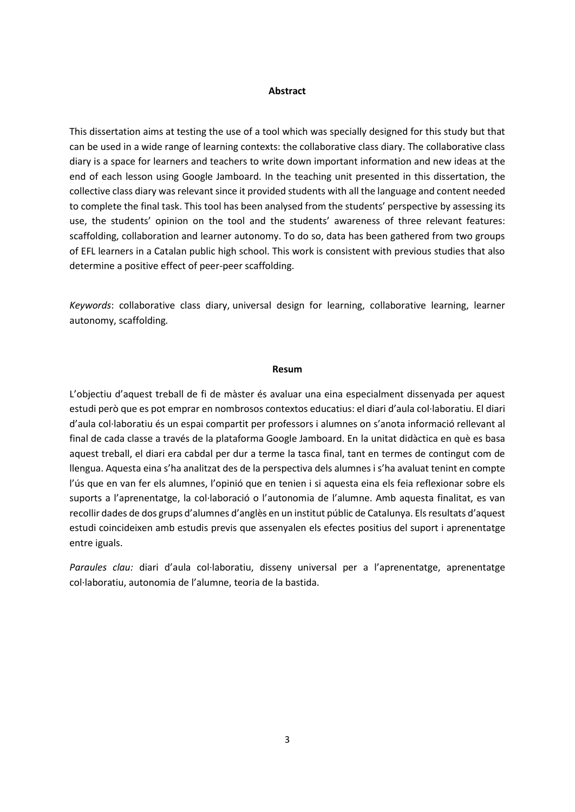#### **Abstract**

This dissertation aims at testing the use of a tool which was specially designed for this study but that can be used in a wide range of learning contexts: the collaborative class diary. The collaborative class diary is a space for learners and teachers to write down important information and new ideas at the end of each lesson using Google Jamboard. In the teaching unit presented in this dissertation, the collective class diary was relevant since it provided students with all the language and content needed to complete the final task. This tool has been analysed from the students' perspective by assessing its use, the students' opinion on the tool and the students' awareness of three relevant features: scaffolding, collaboration and learner autonomy. To do so, data has been gathered from two groups of EFL learners in a Catalan public high school. This work is consistent with previous studies that also determine a positive effect of peer-peer scaffolding.

*Keywords*: collaborative class diary, universal design for learning, collaborative learning, learner autonomy, scaffolding*.*

#### **Resum**

L'objectiu d'aquest treball de fi de màster és avaluar una eina especialment dissenyada per aquest estudi però que es pot emprar en nombrosos contextos educatius: el diari d'aula col·laboratiu. El diari d'aula col·laboratiu és un espai compartit per professors i alumnes on s'anota informació rellevant al final de cada classe a través de la plataforma Google Jamboard. En la unitat didàctica en què es basa aquest treball, el diari era cabdal per dur a terme la tasca final, tant en termes de contingut com de llengua. Aquesta eina s'ha analitzat des de la perspectiva dels alumnes i s'ha avaluat tenint en compte l'ús que en van fer els alumnes, l'opinió que en tenien i si aquesta eina els feia reflexionar sobre els suports a l'aprenentatge, la col·laboració o l'autonomia de l'alumne. Amb aquesta finalitat, es van recollir dades de dos grups d'alumnes d'anglès en un institut públic de Catalunya. Els resultats d'aquest estudi coincideixen amb estudis previs que assenyalen els efectes positius del suport i aprenentatge entre iguals.

*Paraules clau:* diari d'aula col·laboratiu, disseny universal per a l'aprenentatge, aprenentatge col·laboratiu, autonomia de l'alumne, teoria de la bastida.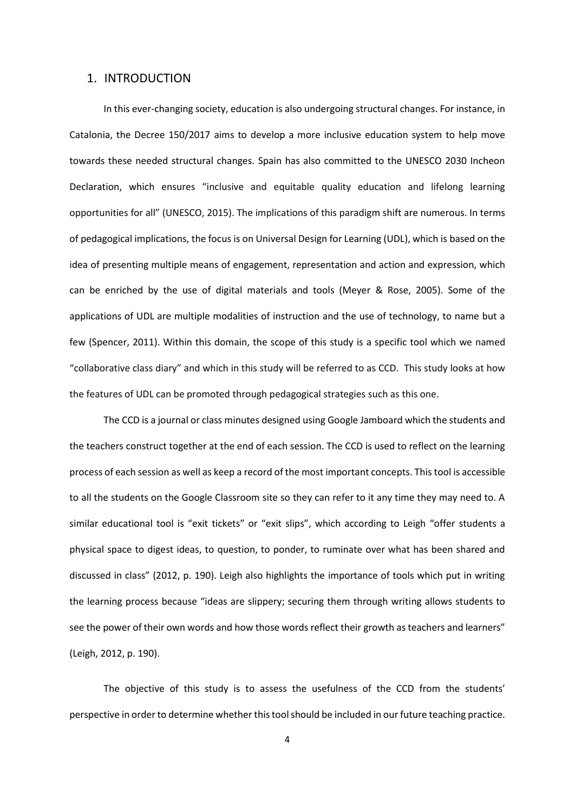# 1. INTRODUCTION

In this ever-changing society, education is also undergoing structural changes. For instance, in Catalonia, the Decree 150/2017 aims to develop a more inclusive education system to help move towards these needed structural changes. Spain has also committed to the UNESCO 2030 Incheon Declaration, which ensures "inclusive and equitable quality education and lifelong learning opportunities for all" (UNESCO, 2015). The implications of this paradigm shift are numerous. In terms of pedagogical implications, the focus is on Universal Design for Learning (UDL), which is based on the idea of presenting multiple means of engagement, representation and action and expression, which can be enriched by the use of digital materials and tools (Meyer & Rose, 2005). Some of the applications of UDL are multiple modalities of instruction and the use of technology, to name but a few (Spencer, 2011). Within this domain, the scope of this study is a specific tool which we named "collaborative class diary" and which in this study will be referred to as CCD. This study looks at how the features of UDL can be promoted through pedagogical strategies such as this one.

The CCD is a journal or class minutes designed using Google Jamboard which the students and the teachers construct together at the end of each session. The CCD is used to reflect on the learning process of each session as well as keep a record of the most important concepts. This tool is accessible to all the students on the Google Classroom site so they can refer to it any time they may need to. A similar educational tool is "exit tickets" or "exit slips", which according to Leigh "offer students a physical space to digest ideas, to question, to ponder, to ruminate over what has been shared and discussed in class" (2012, p. 190). Leigh also highlights the importance of tools which put in writing the learning process because "ideas are slippery; securing them through writing allows students to see the power of their own words and how those words reflect their growth as teachers and learners" (Leigh, 2012, p. 190).

The objective of this study is to assess the usefulness of the CCD from the students' perspective in order to determine whether this tool should be included in our future teaching practice.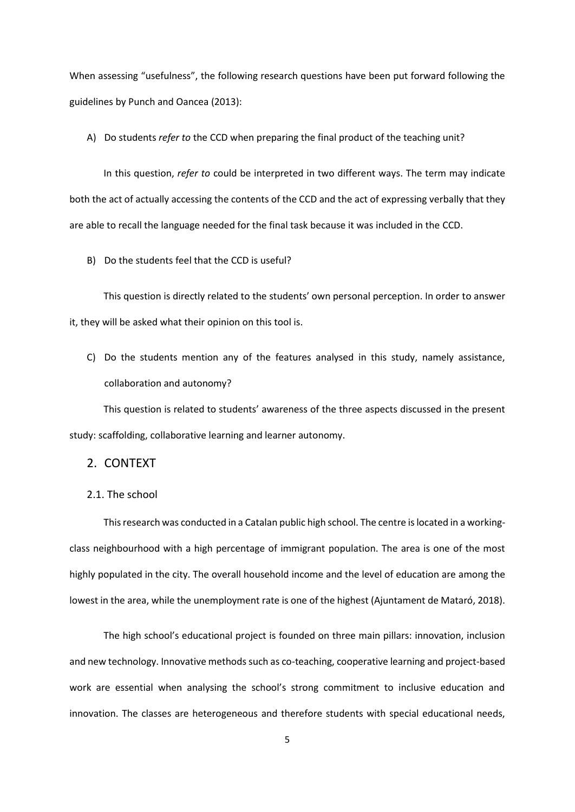When assessing "usefulness", the following research questions have been put forward following the guidelines by Punch and Oancea (2013):

A) Do students *refer to* the CCD when preparing the final product of the teaching unit?

In this question, *refer to* could be interpreted in two different ways. The term may indicate both the act of actually accessing the contents of the CCD and the act of expressing verbally that they are able to recall the language needed for the final task because it was included in the CCD.

B) Do the students feel that the CCD is useful?

This question is directly related to the students' own personal perception. In order to answer it, they will be asked what their opinion on this tool is.

C) Do the students mention any of the features analysed in this study, namely assistance, collaboration and autonomy?

This question is related to students' awareness of the three aspects discussed in the present study: scaffolding, collaborative learning and learner autonomy.

# 2. CONTEXT

2.1. The school

This research was conducted in a Catalan public high school. The centre is located in a workingclass neighbourhood with a high percentage of immigrant population. The area is one of the most highly populated in the city. The overall household income and the level of education are among the lowest in the area, while the unemployment rate is one of the highest (Ajuntament de Mataró, 2018).

The high school's educational project is founded on three main pillars: innovation, inclusion and new technology. Innovative methods such as co-teaching, cooperative learning and project-based work are essential when analysing the school's strong commitment to inclusive education and innovation. The classes are heterogeneous and therefore students with special educational needs,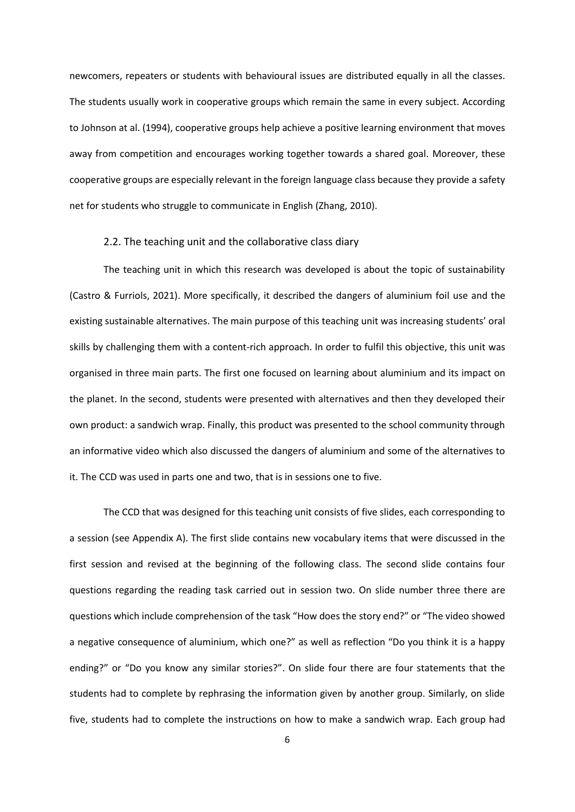newcomers, repeaters or students with behavioural issues are distributed equally in all the classes. The students usually work in cooperative groups which remain the same in every subject. According to Johnson at al. (1994), cooperative groups help achieve a positive learning environment that moves away from competition and encourages working together towards a shared goal. Moreover, these cooperative groups are especially relevant in the foreign language class because they provide a safety net for students who struggle to communicate in English (Zhang, 2010).

#### 2.2. The teaching unit and the collaborative class diary

The teaching unit in which this research was developed is about the topic of sustainability (Castro & Furriols, 2021). More specifically, it described the dangers of aluminium foil use and the existing sustainable alternatives. The main purpose of this teaching unit was increasing students' oral skills by challenging them with a content-rich approach. In order to fulfil this objective, this unit was organised in three main parts. The first one focused on learning about aluminium and its impact on the planet. In the second, students were presented with alternatives and then they developed their own product: a sandwich wrap. Finally, this product was presented to the school community through an informative video which also discussed the dangers of aluminium and some of the alternatives to it. The CCD was used in parts one and two, that is in sessions one to five.

The CCD that was designed for this teaching unit consists of five slides, each corresponding to a session (see Appendix A). The first slide contains new vocabulary items that were discussed in the first session and revised at the beginning of the following class. The second slide contains four questions regarding the reading task carried out in session two. On slide number three there are questions which include comprehension of the task "How does the story end?" or "The video showed a negative consequence of aluminium, which one?" as well as reflection "Do you think it is a happy ending?" or "Do you know any similar stories?". On slide four there are four statements that the students had to complete by rephrasing the information given by another group. Similarly, on slide five, students had to complete the instructions on how to make a sandwich wrap. Each group had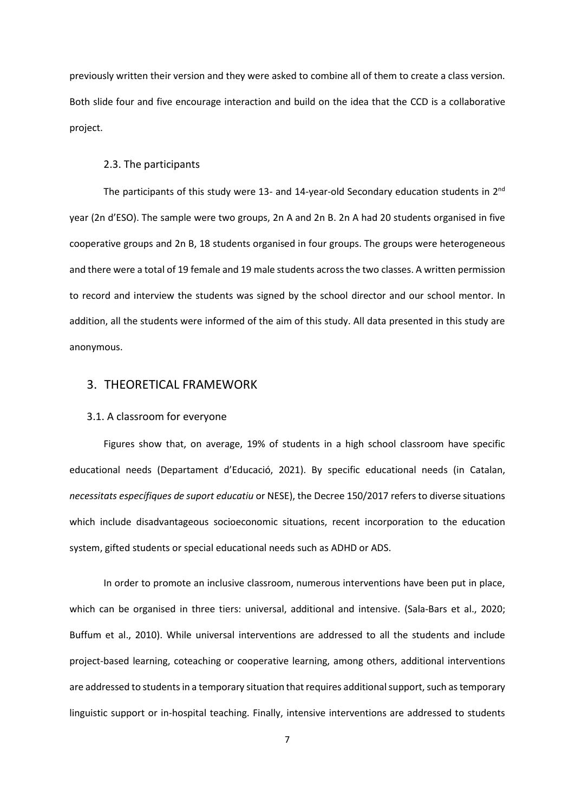previously written their version and they were asked to combine all of them to create a class version. Both slide four and five encourage interaction and build on the idea that the CCD is a collaborative project.

#### 2.3. The participants

The participants of this study were 13- and 14-year-old Secondary education students in  $2^{nd}$ year (2n d'ESO). The sample were two groups, 2n A and 2n B. 2n A had 20 students organised in five cooperative groups and 2n B, 18 students organised in four groups. The groups were heterogeneous and there were a total of 19 female and 19 male students across the two classes. A written permission to record and interview the students was signed by the school director and our school mentor. In addition, all the students were informed of the aim of this study. All data presented in this study are anonymous.

# 3. THEORETICAL FRAMEWORK

#### 3.1. A classroom for everyone

Figures show that, on average, 19% of students in a high school classroom have specific educational needs (Departament d'Educació, 2021). By specific educational needs (in Catalan, *necessitats específiques de suport educatiu* or NESE), the Decree 150/2017 refers to diverse situations which include disadvantageous socioeconomic situations, recent incorporation to the education system, gifted students or special educational needs such as ADHD or ADS.

In order to promote an inclusive classroom, numerous interventions have been put in place, which can be organised in three tiers: universal, additional and intensive. (Sala-Bars et al., 2020; Buffum et al., 2010). While universal interventions are addressed to all the students and include project-based learning, coteaching or cooperative learning, among others, additional interventions are addressed to students in a temporary situation that requires additional support, such as temporary linguistic support or in-hospital teaching. Finally, intensive interventions are addressed to students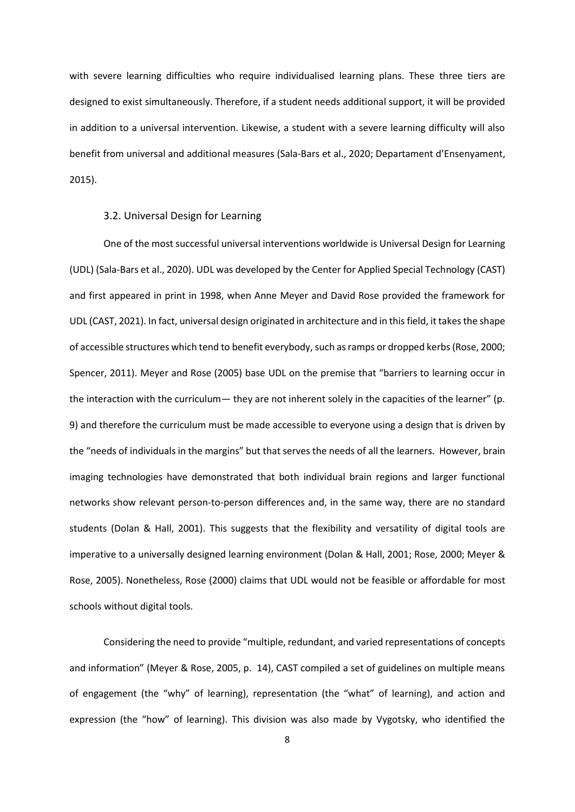with severe learning difficulties who require individualised learning plans. These three tiers are designed to exist simultaneously. Therefore, if a student needs additional support, it will be provided in addition to a universal intervention. Likewise, a student with a severe learning difficulty will also benefit from universal and additional measures (Sala-Bars et al., 2020; Departament d'Ensenyament, 2015).

#### 3.2. Universal Design for Learning

One of the most successful universal interventions worldwide is Universal Design for Learning (UDL) (Sala-Bars et al., 2020). UDL was developed by the Center for Applied Special Technology (CAST) and first appeared in print in 1998, when Anne Meyer and David Rose provided the framework for UDL (CAST, 2021). In fact, universal design originated in architecture and in thisfield, it takes the shape of accessible structures which tend to benefit everybody, such as ramps or dropped kerbs (Rose, 2000; Spencer, 2011). Meyer and Rose (2005) base UDL on the premise that "barriers to learning occur in the interaction with the curriculum— they are not inherent solely in the capacities of the learner" (p. 9) and therefore the curriculum must be made accessible to everyone using a design that is driven by the "needs of individuals in the margins" but that serves the needs of all the learners. However, brain imaging technologies have demonstrated that both individual brain regions and larger functional networks show relevant person-to-person differences and, in the same way, there are no standard students (Dolan & Hall, 2001). This suggests that the flexibility and versatility of digital tools are imperative to a universally designed learning environment (Dolan & Hall, 2001; Rose, 2000; Meyer & Rose, 2005). Nonetheless, Rose (2000) claims that UDL would not be feasible or affordable for most schools without digital tools.

Considering the need to provide "multiple, redundant, and varied representations of concepts and information" (Meyer & Rose, 2005, p. 14), CAST compiled a set of guidelines on multiple means of engagement (the "why" of learning), representation (the "what" of learning), and action and expression (the "how" of learning). This division was also made by Vygotsky, who identified the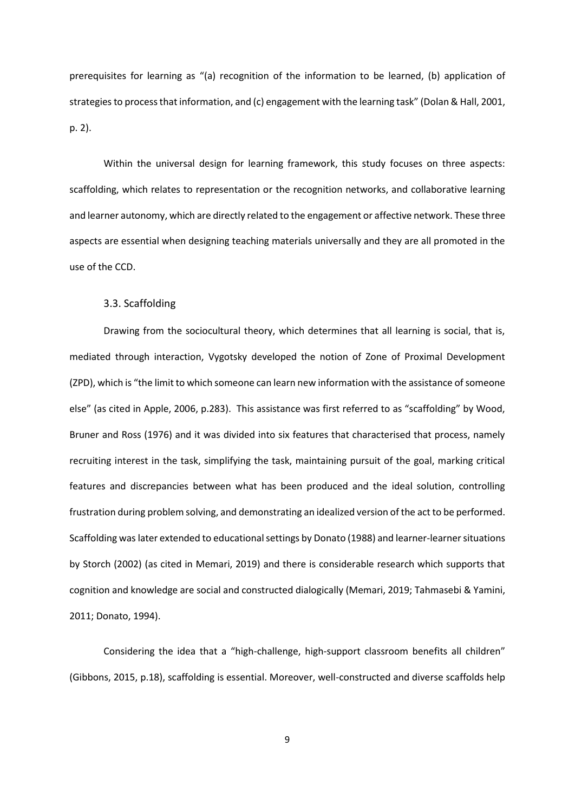prerequisites for learning as "(a) recognition of the information to be learned, (b) application of strategies to process that information, and (c) engagement with the learning task" (Dolan & Hall, 2001, p. 2).

Within the universal design for learning framework, this study focuses on three aspects: scaffolding, which relates to representation or the recognition networks, and collaborative learning and learner autonomy, which are directly related to the engagement or affective network. These three aspects are essential when designing teaching materials universally and they are all promoted in the use of the CCD.

# 3.3. Scaffolding

Drawing from the sociocultural theory, which determines that all learning is social, that is, mediated through interaction, Vygotsky developed the notion of Zone of Proximal Development (ZPD), which is "the limit to which someone can learn new information with the assistance of someone else" (as cited in Apple, 2006, p.283). This assistance was first referred to as "scaffolding" by Wood, Bruner and Ross (1976) and it was divided into six features that characterised that process, namely recruiting interest in the task, simplifying the task, maintaining pursuit of the goal, marking critical features and discrepancies between what has been produced and the ideal solution, controlling frustration during problem solving, and demonstrating an idealized version of the act to be performed. Scaffolding was later extended to educational settings by Donato (1988) and learner-learner situations by Storch (2002) (as cited in Memari, 2019) and there is considerable research which supports that cognition and knowledge are social and constructed dialogically (Memari, 2019; Tahmasebi & Yamini, 2011; Donato, 1994).

Considering the idea that a "high-challenge, high-support classroom benefits all children" (Gibbons, 2015, p.18), scaffolding is essential. Moreover, well-constructed and diverse scaffolds help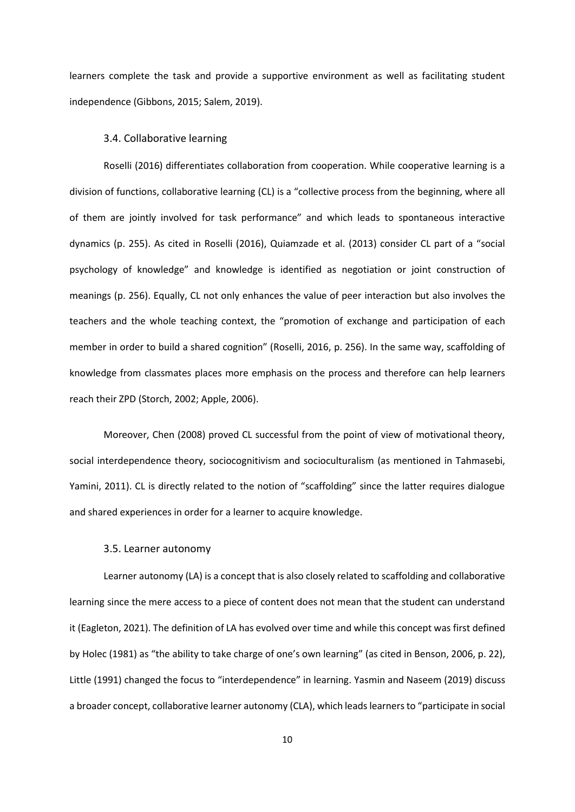learners complete the task and provide a supportive environment as well as facilitating student independence (Gibbons, 2015; Salem, 2019).

#### 3.4. Collaborative learning

Roselli (2016) differentiates collaboration from cooperation. While cooperative learning is a division of functions, collaborative learning (CL) is a "collective process from the beginning, where all of them are jointly involved for task performance" and which leads to spontaneous interactive dynamics (p. 255). As cited in Roselli (2016), Quiamzade et al. (2013) consider CL part of a "social psychology of knowledge" and knowledge is identified as negotiation or joint construction of meanings (p. 256). Equally, CL not only enhances the value of peer interaction but also involves the teachers and the whole teaching context, the "promotion of exchange and participation of each member in order to build a shared cognition" (Roselli, 2016, p. 256). In the same way, scaffolding of knowledge from classmates places more emphasis on the process and therefore can help learners reach their ZPD (Storch, 2002; Apple, 2006).

Moreover, Chen (2008) proved CL successful from the point of view of motivational theory, social interdependence theory, sociocognitivism and socioculturalism (as mentioned in Tahmasebi, Yamini, 2011). CL is directly related to the notion of "scaffolding" since the latter requires dialogue and shared experiences in order for a learner to acquire knowledge.

#### 3.5. Learner autonomy

Learner autonomy (LA) is a concept that is also closely related to scaffolding and collaborative learning since the mere access to a piece of content does not mean that the student can understand it (Eagleton, 2021). The definition of LA has evolved over time and while this concept was first defined by Holec (1981) as "the ability to take charge of one's own learning" (as cited in Benson, 2006, p. 22), Little (1991) changed the focus to "interdependence" in learning. Yasmin and Naseem (2019) discuss a broader concept, collaborative learner autonomy (CLA), which leads learners to "participate in social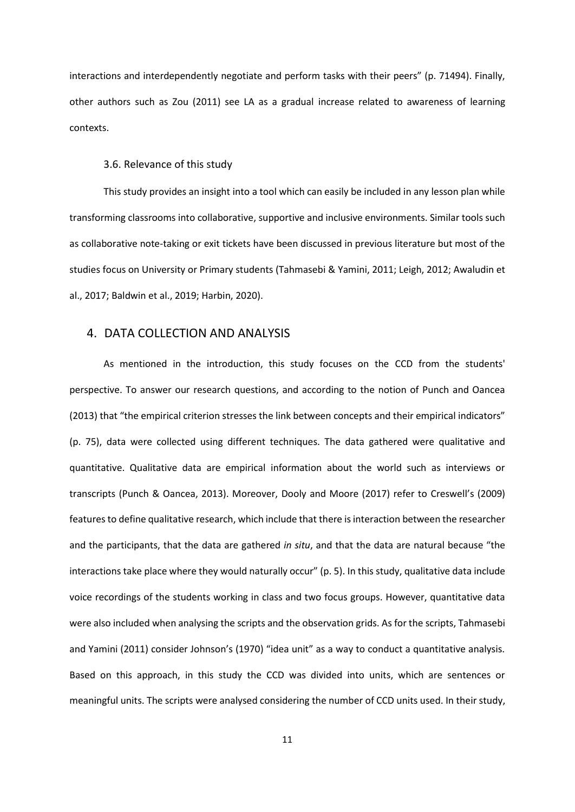interactions and interdependently negotiate and perform tasks with their peers" (p. 71494). Finally, other authors such as Zou (2011) see LA as a gradual increase related to awareness of learning contexts.

#### 3.6. Relevance of this study

This study provides an insight into a tool which can easily be included in any lesson plan while transforming classrooms into collaborative, supportive and inclusive environments. Similar tools such as collaborative note-taking or exit tickets have been discussed in previous literature but most of the studies focus on University or Primary students (Tahmasebi & Yamini, 2011; Leigh, 2012; Awaludin et al., 2017; Baldwin et al., 2019; Harbin, 2020).

# 4. DATA COLLECTION AND ANALYSIS

As mentioned in the introduction, this study focuses on the CCD from the students' perspective. To answer our research questions, and according to the notion of Punch and Oancea (2013) that "the empirical criterion stresses the link between concepts and their empirical indicators" (p. 75), data were collected using different techniques. The data gathered were qualitative and quantitative. Qualitative data are empirical information about the world such as interviews or transcripts (Punch & Oancea, 2013). Moreover, Dooly and Moore (2017) refer to Creswell's (2009) features to define qualitative research, which include that there is interaction between the researcher and the participants, that the data are gathered *in situ*, and that the data are natural because "the interactions take place where they would naturally occur" (p. 5). In this study, qualitative data include voice recordings of the students working in class and two focus groups. However, quantitative data were also included when analysing the scripts and the observation grids. As for the scripts, Tahmasebi and Yamini (2011) consider Johnson's (1970) "idea unit" as a way to conduct a quantitative analysis. Based on this approach, in this study the CCD was divided into units, which are sentences or meaningful units. The scripts were analysed considering the number of CCD units used. In their study,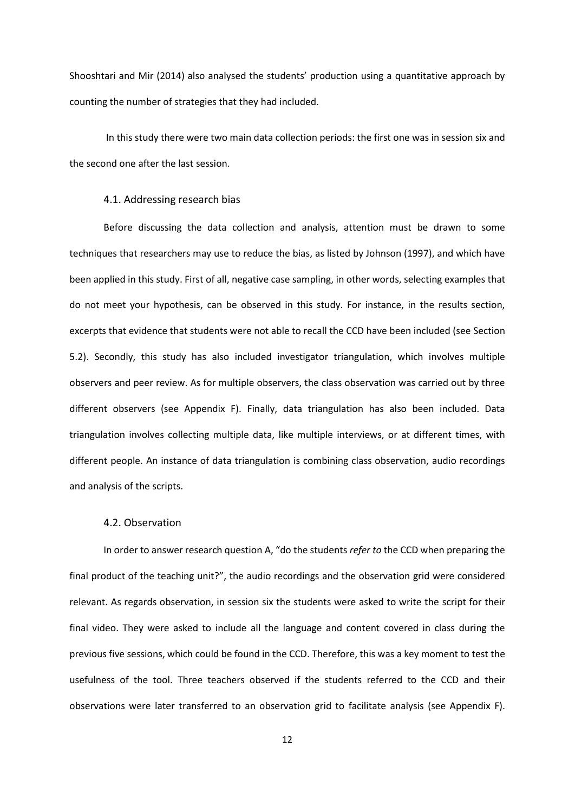Shooshtari and Mir (2014) also analysed the students' production using a quantitative approach by counting the number of strategies that they had included.

In this study there were two main data collection periods: the first one was in session six and the second one after the last session.

#### 4.1. Addressing research bias

Before discussing the data collection and analysis, attention must be drawn to some techniques that researchers may use to reduce the bias, as listed by Johnson (1997), and which have been applied in this study. First of all, negative case sampling, in other words, selecting examples that do not meet your hypothesis, can be observed in this study. For instance, in the results section, excerpts that evidence that students were not able to recall the CCD have been included (see Section 5.2). Secondly, this study has also included investigator triangulation, which involves multiple observers and peer review. As for multiple observers, the class observation was carried out by three different observers (see Appendix F). Finally, data triangulation has also been included. Data triangulation involves collecting multiple data, like multiple interviews, or at different times, with different people. An instance of data triangulation is combining class observation, audio recordings and analysis of the scripts.

# 4.2. Observation

In order to answer research question A, "do the students *refer to* the CCD when preparing the final product of the teaching unit?", the audio recordings and the observation grid were considered relevant. As regards observation, in session six the students were asked to write the script for their final video. They were asked to include all the language and content covered in class during the previous five sessions, which could be found in the CCD. Therefore, this was a key moment to test the usefulness of the tool. Three teachers observed if the students referred to the CCD and their observations were later transferred to an observation grid to facilitate analysis (see Appendix F).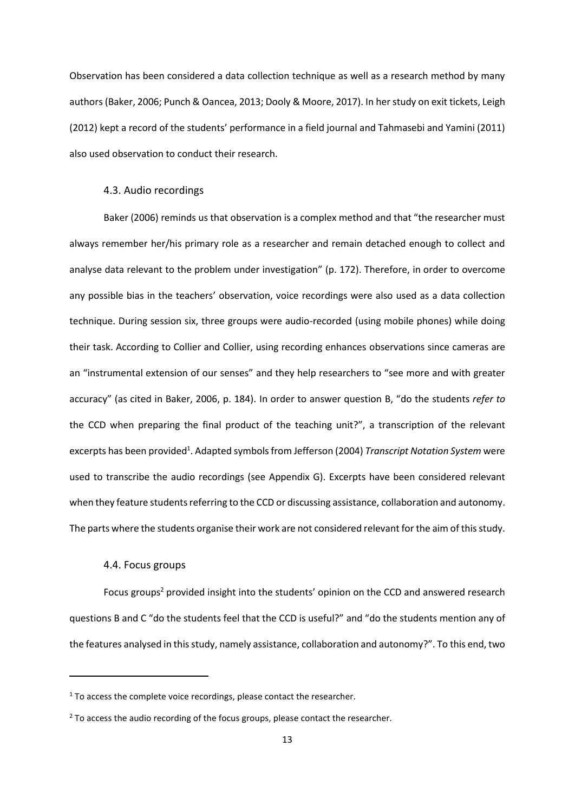Observation has been considered a data collection technique as well as a research method by many authors (Baker, 2006; Punch & Oancea, 2013; Dooly & Moore, 2017). In her study on exit tickets, Leigh (2012) kept a record of the students' performance in a field journal and Tahmasebi and Yamini (2011) also used observation to conduct their research.

#### 4.3. Audio recordings

Baker (2006) reminds us that observation is a complex method and that "the researcher must always remember her/his primary role as a researcher and remain detached enough to collect and analyse data relevant to the problem under investigation" (p. 172). Therefore, in order to overcome any possible bias in the teachers' observation, voice recordings were also used as a data collection technique. During session six, three groups were audio-recorded (using mobile phones) while doing their task. According to Collier and Collier, using recording enhances observations since cameras are an "instrumental extension of our senses" and they help researchers to "see more and with greater accuracy" (as cited in Baker, 2006, p. 184). In order to answer question B, "do the students *refer to* the CCD when preparing the final product of the teaching unit?", a transcription of the relevant excerpts has been provided<sup>1</sup>. Adapted symbols from Jefferson (2004) *Transcript Notation System* were used to transcribe the audio recordings (see Appendix G). Excerpts have been considered relevant when they feature students referring to the CCD or discussing assistance, collaboration and autonomy. The parts where the students organise their work are not considered relevant for the aim of this study.

# 4.4. Focus groups

Focus groups<sup>2</sup> provided insight into the students' opinion on the CCD and answered research questions B and C "do the students feel that the CCD is useful?" and "do the students mention any of the features analysed in this study, namely assistance, collaboration and autonomy?". To this end, two

<sup>&</sup>lt;sup>1</sup> To access the complete voice recordings, please contact the researcher.

 $2$  To access the audio recording of the focus groups, please contact the researcher.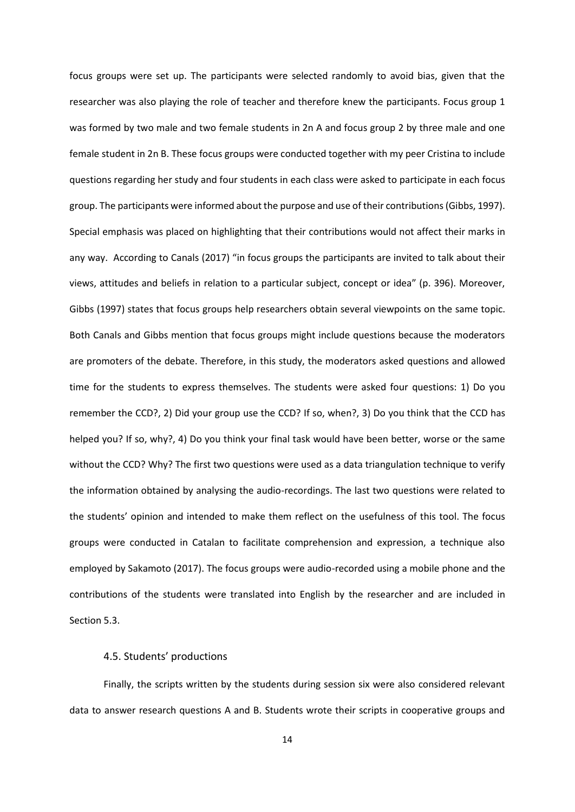focus groups were set up. The participants were selected randomly to avoid bias, given that the researcher was also playing the role of teacher and therefore knew the participants. Focus group 1 was formed by two male and two female students in 2n A and focus group 2 by three male and one female student in 2n B. These focus groups were conducted together with my peer Cristina to include questions regarding her study and four students in each class were asked to participate in each focus group. The participants were informed about the purpose and use of their contributions (Gibbs, 1997). Special emphasis was placed on highlighting that their contributions would not affect their marks in any way. According to Canals (2017) "in focus groups the participants are invited to talk about their views, attitudes and beliefs in relation to a particular subject, concept or idea" (p. 396). Moreover, Gibbs (1997) states that focus groups help researchers obtain several viewpoints on the same topic. Both Canals and Gibbs mention that focus groups might include questions because the moderators are promoters of the debate. Therefore, in this study, the moderators asked questions and allowed time for the students to express themselves. The students were asked four questions: 1) Do you remember the CCD?, 2) Did your group use the CCD? If so, when?, 3) Do you think that the CCD has helped you? If so, why?, 4) Do you think your final task would have been better, worse or the same without the CCD? Why? The first two questions were used as a data triangulation technique to verify the information obtained by analysing the audio-recordings. The last two questions were related to the students' opinion and intended to make them reflect on the usefulness of this tool. The focus groups were conducted in Catalan to facilitate comprehension and expression, a technique also employed by Sakamoto (2017). The focus groups were audio-recorded using a mobile phone and the contributions of the students were translated into English by the researcher and are included in Section 5.3.

# 4.5. Students' productions

Finally, the scripts written by the students during session six were also considered relevant data to answer research questions A and B. Students wrote their scripts in cooperative groups and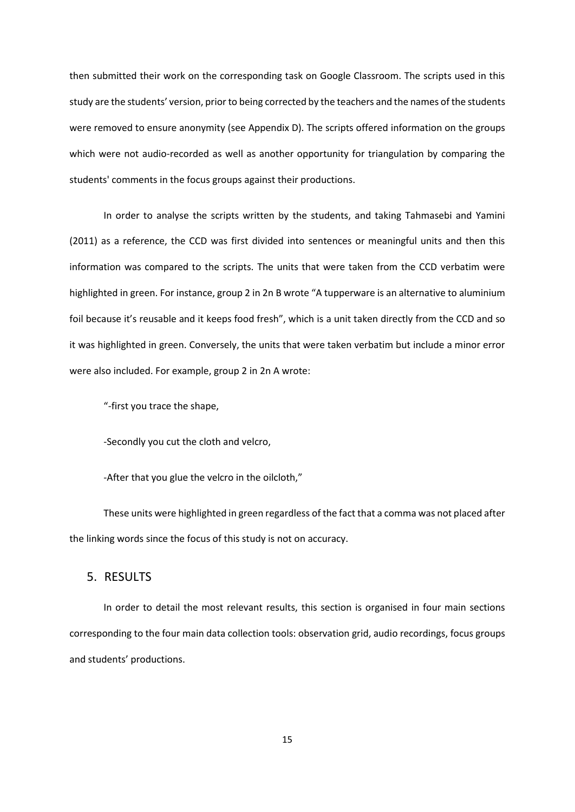then submitted their work on the corresponding task on Google Classroom. The scripts used in this study are the students' version, prior to being corrected by the teachers and the names of the students were removed to ensure anonymity (see Appendix D). The scripts offered information on the groups which were not audio-recorded as well as another opportunity for triangulation by comparing the students' comments in the focus groups against their productions.

In order to analyse the scripts written by the students, and taking Tahmasebi and Yamini (2011) as a reference, the CCD was first divided into sentences or meaningful units and then this information was compared to the scripts. The units that were taken from the CCD verbatim were highlighted in green. For instance, group 2 in 2n B wrote "A tupperware is an alternative to aluminium foil because it's reusable and it keeps food fresh", which is a unit taken directly from the CCD and so it was highlighted in green. Conversely, the units that were taken verbatim but include a minor error were also included. For example, group 2 in 2n A wrote:

"-first you trace the shape,

-Secondly you cut the cloth and velcro,

-After that you glue the velcro in the oilcloth,"

These units were highlighted in green regardless of the fact that a comma was not placed after the linking words since the focus of this study is not on accuracy.

# 5. RESULTS

In order to detail the most relevant results, this section is organised in four main sections corresponding to the four main data collection tools: observation grid, audio recordings, focus groups and students' productions.

15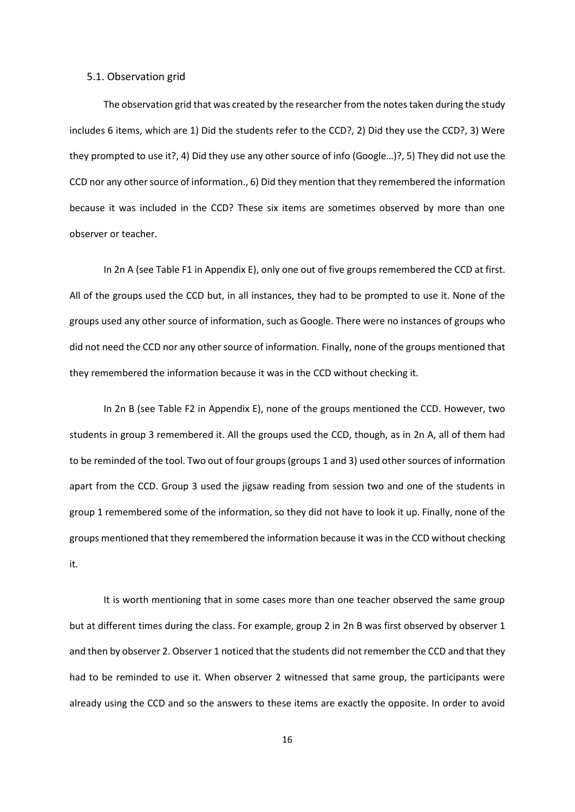#### 5.1. Observation grid

The observation grid that was created by the researcher from the notes taken during the study includes 6 items, which are 1) Did the students refer to the CCD?, 2) Did they use the CCD?, 3) Were they prompted to use it?, 4) Did they use any other source of info (Google…)?, 5) They did not use the CCD nor any other source of information., 6) Did they mention that they remembered the information because it was included in the CCD? These six items are sometimes observed by more than one observer or teacher.

In 2n A (see Table F1 in Appendix E), only one out of five groups remembered the CCD at first. All of the groups used the CCD but, in all instances, they had to be prompted to use it. None of the groups used any other source of information, such as Google. There were no instances of groups who did not need the CCD nor any other source of information. Finally, none of the groups mentioned that they remembered the information because it was in the CCD without checking it.

In 2n B (see Table F2 in Appendix E), none of the groups mentioned the CCD. However, two students in group 3 remembered it. All the groups used the CCD, though, as in 2n A, all of them had to be reminded of the tool. Two out of four groups (groups 1 and 3) used other sources of information apart from the CCD. Group 3 used the jigsaw reading from session two and one of the students in group 1 remembered some of the information, so they did not have to look it up. Finally, none of the groups mentioned that they remembered the information because it was in the CCD without checking it.

It is worth mentioning that in some cases more than one teacher observed the same group but at different times during the class. For example, group 2 in 2n B was first observed by observer 1 and then by observer 2. Observer 1 noticed that the students did not remember the CCD and that they had to be reminded to use it. When observer 2 witnessed that same group, the participants were already using the CCD and so the answers to these items are exactly the opposite. In order to avoid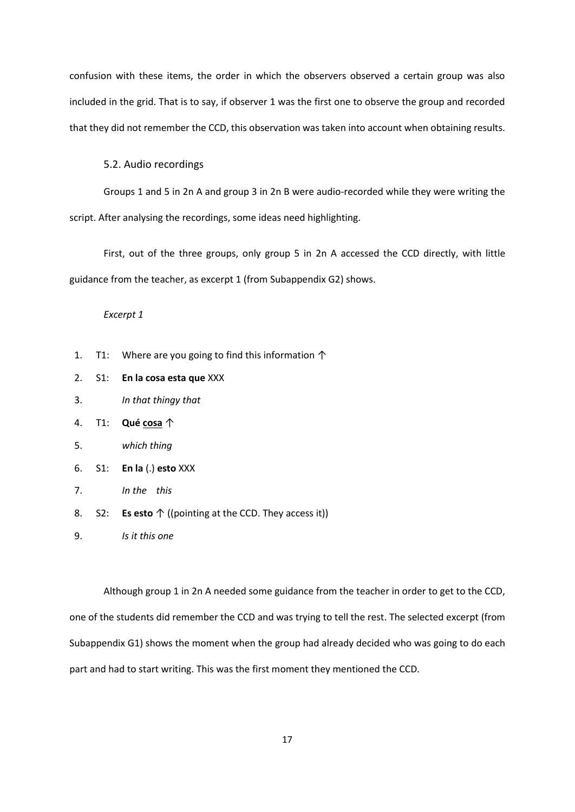confusion with these items, the order in which the observers observed a certain group was also included in the grid. That is to say, if observer 1 was the first one to observe the group and recorded that they did not remember the CCD, this observation was taken into account when obtaining results.

#### 5.2. Audio recordings

Groups 1 and 5 in 2n A and group 3 in 2n B were audio-recorded while they were writing the script. After analysing the recordings, some ideas need highlighting.

First, out of the three groups, only group 5 in 2n A accessed the CCD directly, with little guidance from the teacher, as excerpt 1 (from Subappendix G2) shows.

#### *Excerpt 1*

- 1. T1: Where are you going to find this information ↑
- 2. S1: **En la cosa esta que** XXX
- 3. *In that thingy that*
- 4. T1: **Qué cosa** ↑
- 5. *which thing*
- 6. S1: **En la** (.) **esto** XXX
- 7. *In the this*
- 8. S2: **Es esto** ↑ ((pointing at the CCD. They access it))
- 9. *Is it this one*

Although group 1 in 2n A needed some guidance from the teacher in order to get to the CCD, one of the students did remember the CCD and was trying to tell the rest. The selected excerpt (from Subappendix G1) shows the moment when the group had already decided who was going to do each part and had to start writing. This was the first moment they mentioned the CCD.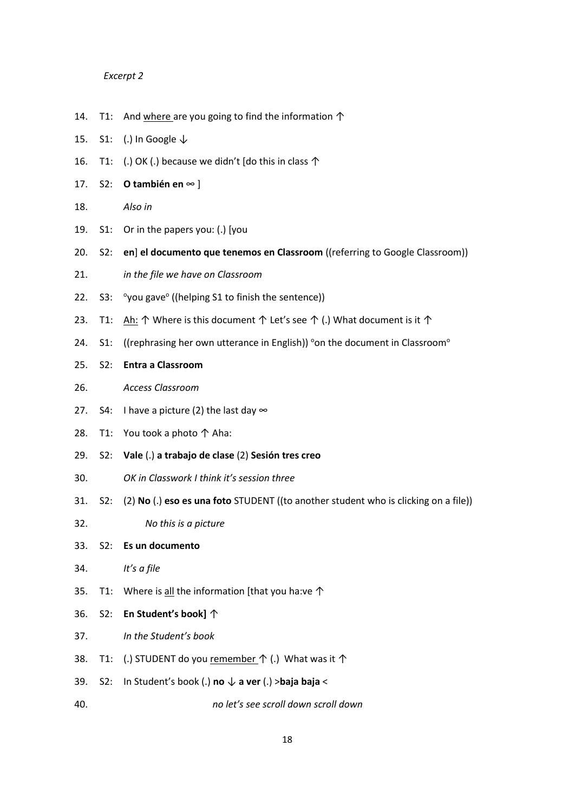- 14. T1: And where are you going to find the information ↑
- 15. S1: (.) In Google  $\downarrow$
- 16. T1: (.) OK (.) because we didn't [do this in class  $\uparrow$
- 17. S2: **O también en** ∞ ]
- 18. *Also in*
- 19. S1: Or in the papers you: (.) [you
- 20. S2: **en**] **el documento que tenemos en Classroom** ((referring to Google Classroom))
- 21. *in the file we have on Classroom*
- 22. S3: you gave<sup>o</sup> ((helping S1 to finish the sentence))
- 23. T1: Ah: ↑ Where is this document ↑ Let's see ↑ (.) What document is it ↑
- 24. S1: ((rephrasing her own utterance in English)) ° on the document in Classroom<sup>o</sup>
- 25. S2: **Entra a Classroom**
- 26. *Access Classroom*
- 27. S4: I have a picture (2) the last day  $\infty$
- 28. T1: You took a photo ↑ Aha:
- 29. S2: **Vale** (.) **a trabajo de clase** (2) **Sesión tres creo**
- 30. *OK in Classwork I think it's session three*
- 31. S2: (2) **No** (.) **eso es una foto** STUDENT ((to another student who is clicking on a file))
- 32. *No this is a picture*
- 33. S2: **Es un documento**
- 34. *It's a file*
- 35. T1: Where is all the information [that you ha:ve ↑
- 36. S2: **En Student's book]** ↑
- 37. *In the Student's book*
- 38. T1: (.) STUDENT do you remember  $\uparrow$  (.) What was it  $\uparrow$
- 39. S2: In Student's book (.) **no** ↓ **a ver** (.) >**baja baja** <
- 40. *no let's see scroll down scroll down*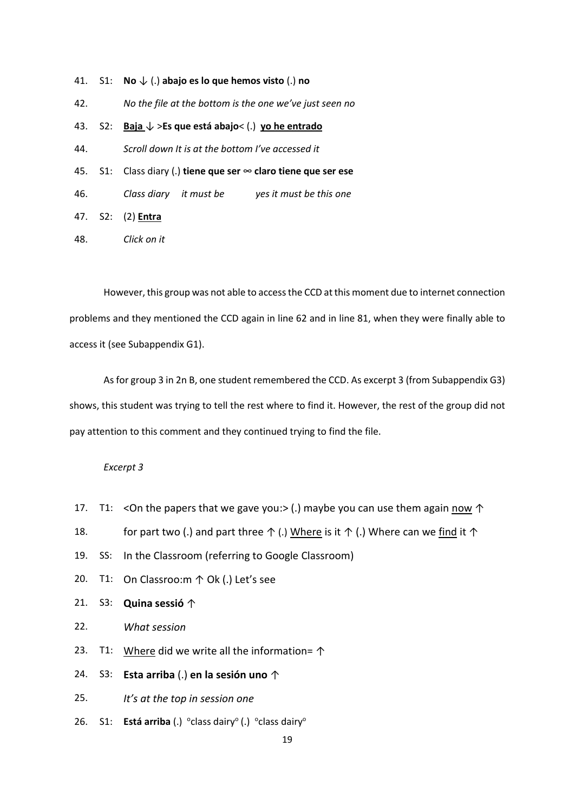- 41. S1: **No** ↓ (.) **abajo es lo que hemos visto** (.) **no**
- 42. *No the file at the bottom is the one we've just seen no*
- 43. S2: **Baja** ↓ >**Es que está abajo**< (.) **yo he entrado**
- 44. *Scroll down It is at the bottom I've accessed it*
- 45. S1: Class diary (.) **tiene que ser** ∞ **claro tiene que ser ese**
- 46. *Class diary it must be yes it must be this one*
- 47. S2: (2) **Entra**
- 48. *Click on it*

However, this group was not able to access the CCD at this moment due to internet connection problems and they mentioned the CCD again in line 62 and in line 81, when they were finally able to access it (see Subappendix G1).

As for group 3 in 2n B, one student remembered the CCD. As excerpt 3 (from Subappendix G3) shows, this student was trying to tell the rest where to find it. However, the rest of the group did not pay attention to this comment and they continued trying to find the file.

- 17. T1: < On the papers that we gave you:  $\ge$  (.) maybe you can use them again now  $\uparrow$
- 18. for part two (.) and part three  $\uparrow$  (.) Where is it  $\uparrow$  (.) Where can we find it  $\uparrow$
- 19. SS: In the Classroom (referring to Google Classroom)
- 20. T1: On Classroo:m ↑ Ok (.) Let's see
- 21. S3: **Quina sessió** ↑
- 22. *What session*
- 23. T1: Where did we write all the information= ↑
- 24. S3: **Esta arriba** (.) **en la sesión uno** ↑
- 25. *It's at the top in session one*
- 26. S1: **Está arriba** (.) <sup>o</sup>class dairy<sup>o</sup> (.) <sup>o</sup>class dairy<sup>o</sup>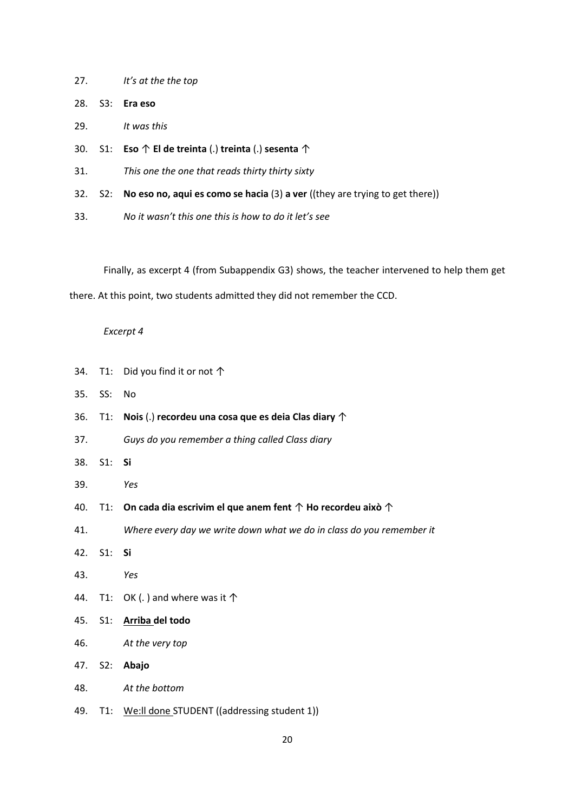- 27. *It's at the the top*
- 28. S3: **Era eso**
- 29. *It was this*
- 30. S1: **Eso** ↑ **El de treinta** (.) **treinta** (.) **sesenta** ↑
- 31. *This one the one that reads thirty thirty sixty*
- 32. S2: **No eso no, aqui es como se hacia** (3) **a ver** ((they are trying to get there))
- 33. *No it wasn't this one this is how to do it let's see*

Finally, as excerpt 4 (from Subappendix G3) shows, the teacher intervened to help them get there. At this point, two students admitted they did not remember the CCD.

- 34. T1: Did you find it or not ↑
- 35. SS: No
- 36. T1: **Nois** (.) **recordeu una cosa que es deia Clas diary** ↑
- 37. *Guys do you remember a thing called Class diary*
- 38. S1: **Si**
- 39. *Yes*
- 40. T1: **On cada dia escrivim el que anem fent** ↑ **Ho recordeu això** ↑
- 41. *Where every day we write down what we do in class do you remember it*
- 42. S1: **Si**
- 43. *Yes*
- 44. T1: OK (. ) and where was it  $\uparrow$
- 45. S1: **Arriba del todo**
- 46. *At the very top*
- 47. S2: **Abajo**
- 48. *At the bottom*
- 49. T1: We:ll done STUDENT ((addressing student 1))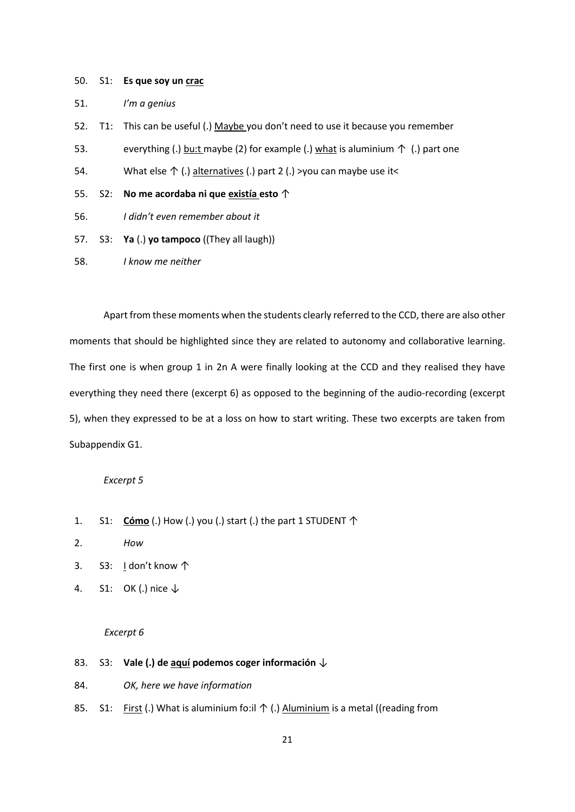#### 50. S1: **Es que soy un crac**

- 51. *I'm a genius*
- 52. T1: This can be useful (.) Maybe you don't need to use it because you remember
- 53. everything (.) bu:t maybe (2) for example (.) what is aluminium  $\uparrow$  (.) part one
- 54. What else ↑ (.) alternatives (.) part 2 (.) >you can maybe use it<
- 55. S2: **No me acordaba ni que existía esto** ↑
- 56. *I didn't even remember about it*
- 57. S3: **Ya** (.) **yo tampoco** ((They all laugh))
- 58. *I know me neither*

Apart from these moments when the students clearly referred to the CCD, there are also other moments that should be highlighted since they are related to autonomy and collaborative learning. The first one is when group 1 in 2n A were finally looking at the CCD and they realised they have everything they need there (excerpt 6) as opposed to the beginning of the audio-recording (excerpt 5), when they expressed to be at a loss on how to start writing. These two excerpts are taken from Subappendix G1.

#### *Excerpt 5*

- 1. S1: **Cómo** (.) How (.) you (.) start (.) the part 1 STUDENT ↑
- 2. *How*
- 3. S3: I don't know ↑
- 4. S1: OK (.) nice ↓

#### *Excerpt 6*

# 83. S3: **Vale (.) de aquí podemos coger información** ↓

- 84. *OK, here we have information*
- 85. S1: First (.) What is aluminium fo:il  $\uparrow$  (.) Aluminium is a metal ((reading from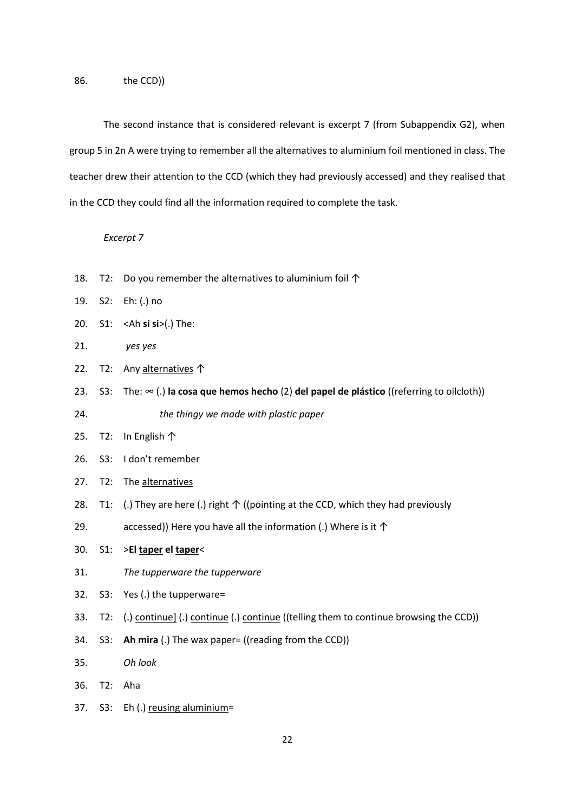The second instance that is considered relevant is excerpt 7 (from Subappendix G2), when group 5 in 2n A were trying to remember all the alternatives to aluminium foil mentioned in class. The teacher drew their attention to the CCD (which they had previously accessed) and they realised that in the CCD they could find all the information required to complete the task.

- 18. T2: Do you remember the alternatives to aluminium foil  $\uparrow$
- 19. S2: Eh: (.) no
- 20. S1: <Ah **si si**>(.) The:
- 21. *yes yes*
- 22. T2: Any alternatives ↑
- 23. S3: The: ∞ (.) **la cosa que hemos hecho** (2) **del papel de plástico** ((referring to oilcloth)) 24. *the thingy we made with plastic paper*
- 25. T2: In English ↑
- 26. S3: I don't remember
- 27. T2: The alternatives
- 28. T1: (.) They are here (.) right  $\uparrow$  ((pointing at the CCD, which they had previously
- 29. accessed)) Here you have all the information (.) Where is it  $\uparrow$
- 30. S1: >**El taper el taper**<
- 31. *The tupperware the tupperware*
- 32. S3: Yes (.) the tupperware=
- 33. T2: (.) continue] (.) continue (.) continue ((telling them to continue browsing the CCD))
- 34. S3: **Ah mira** (.) The wax paper= ((reading from the CCD))
- 35. *Oh look*
- 36. T2: Aha
- 37. S3: Eh (.) reusing aluminium=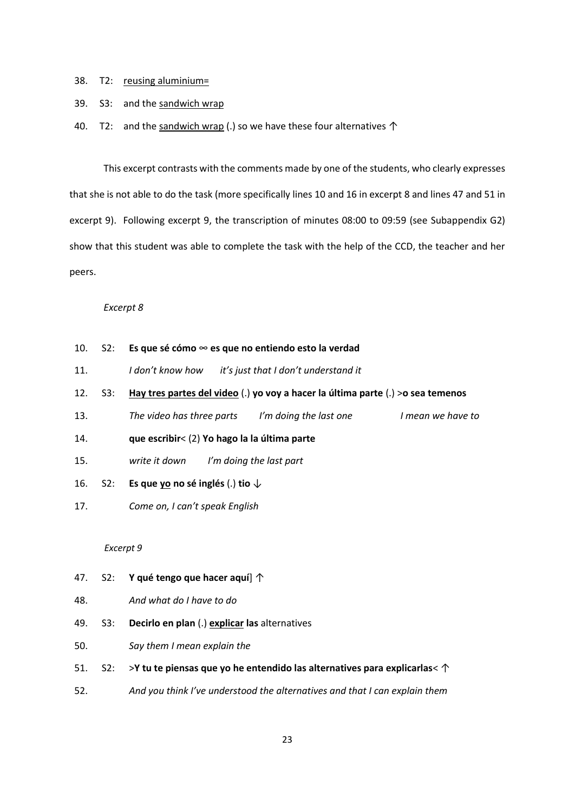- 38. T2: reusing aluminium=
- 39. S3: and the sandwich wrap
- 40. T2: and the sandwich wrap (.) so we have these four alternatives  $\uparrow$

This excerpt contrasts with the comments made by one of the students, who clearly expresses that she is not able to do the task (more specifically lines 10 and 16 in excerpt 8 and lines 47 and 51 in excerpt 9). Following excerpt 9, the transcription of minutes 08:00 to 09:59 (see Subappendix G2) show that this student was able to complete the task with the help of the CCD, the teacher and her peers.

#### *Excerpt 8*

- 10. S2: **Es que sé cómo** ∞ **es que no entiendo esto la verdad**
- 11. *I don't know how it's just that I don't understand it*
- 12. S3: **Hay tres partes del video** (.) **yo voy a hacer la última parte** (.) >**o sea temenos**
- 13. *The video has three parts I'm doing the last one I mean we have to*
- 14. **que escribir**< (2) **Yo hago la la última parte**
- 15. *write it down I'm doing the last part*
- 16. S2: **Es que yo no sé inglés** (.) **tio** ↓
- 17. *Come on, I can't speak English*

- 47. S2: **Y qué tengo que hacer aquí**] ↑
- 48. *And what do I have to do*
- 49. S3: **Decirlo en plan** (.) **explicar las** alternatives
- 50. *Say them I mean explain the*
- 51. S2: >**Y tu te piensas que yo he entendido las alternatives para explicarlas**< ↑
- 52. *And you think I've understood the alternatives and that I can explain them*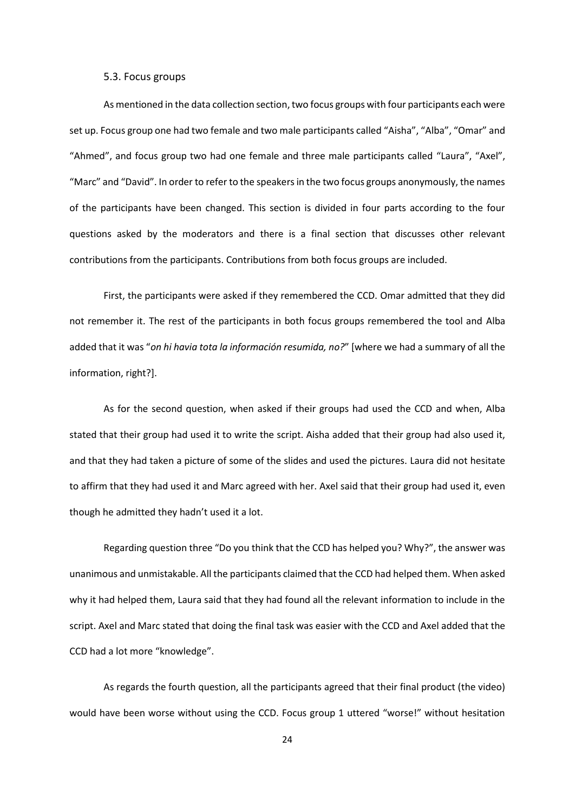#### 5.3. Focus groups

As mentioned in the data collection section, two focus groups with four participants each were set up. Focus group one had two female and two male participants called "Aisha", "Alba", "Omar" and "Ahmed", and focus group two had one female and three male participants called "Laura", "Axel", "Marc" and "David". In order to refer to the speakers in the two focus groups anonymously, the names of the participants have been changed. This section is divided in four parts according to the four questions asked by the moderators and there is a final section that discusses other relevant contributions from the participants. Contributions from both focus groups are included.

First, the participants were asked if they remembered the CCD. Omar admitted that they did not remember it. The rest of the participants in both focus groups remembered the tool and Alba added that it was "*on hi havia tota la información resumida, no?*" [where we had a summary of all the information, right?].

As for the second question, when asked if their groups had used the CCD and when, Alba stated that their group had used it to write the script. Aisha added that their group had also used it, and that they had taken a picture of some of the slides and used the pictures. Laura did not hesitate to affirm that they had used it and Marc agreed with her. Axel said that their group had used it, even though he admitted they hadn't used it a lot.

Regarding question three "Do you think that the CCD has helped you? Why?", the answer was unanimous and unmistakable. All the participants claimed that the CCD had helped them. When asked why it had helped them, Laura said that they had found all the relevant information to include in the script. Axel and Marc stated that doing the final task was easier with the CCD and Axel added that the CCD had a lot more "knowledge".

As regards the fourth question, all the participants agreed that their final product (the video) would have been worse without using the CCD. Focus group 1 uttered "worse!" without hesitation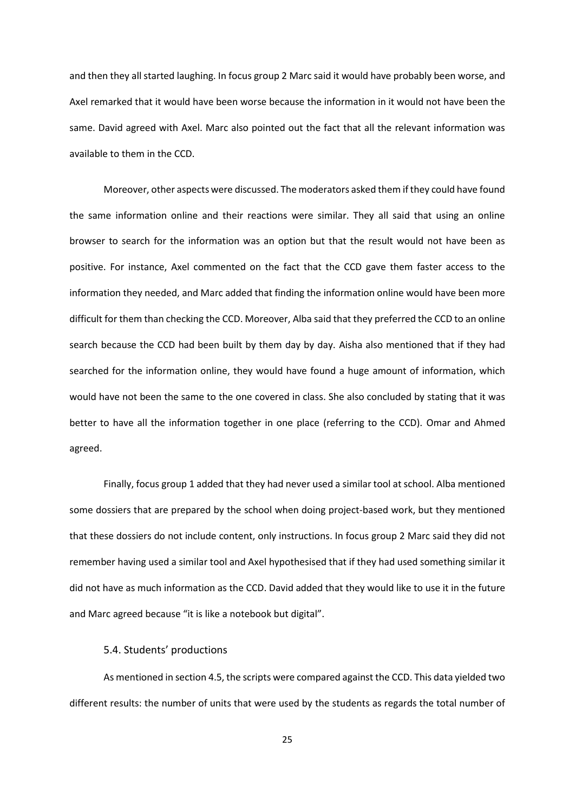and then they all started laughing. In focus group 2 Marc said it would have probably been worse, and Axel remarked that it would have been worse because the information in it would not have been the same. David agreed with Axel. Marc also pointed out the fact that all the relevant information was available to them in the CCD.

Moreover, other aspects were discussed. The moderators asked them if they could have found the same information online and their reactions were similar. They all said that using an online browser to search for the information was an option but that the result would not have been as positive. For instance, Axel commented on the fact that the CCD gave them faster access to the information they needed, and Marc added that finding the information online would have been more difficult for them than checking the CCD. Moreover, Alba said that they preferred the CCD to an online search because the CCD had been built by them day by day. Aisha also mentioned that if they had searched for the information online, they would have found a huge amount of information, which would have not been the same to the one covered in class. She also concluded by stating that it was better to have all the information together in one place (referring to the CCD). Omar and Ahmed agreed.

Finally, focus group 1 added that they had never used a similar tool at school. Alba mentioned some dossiers that are prepared by the school when doing project-based work, but they mentioned that these dossiers do not include content, only instructions. In focus group 2 Marc said they did not remember having used a similar tool and Axel hypothesised that if they had used something similar it did not have as much information as the CCD. David added that they would like to use it in the future and Marc agreed because "it is like a notebook but digital".

# 5.4. Students' productions

As mentioned in section 4.5, the scripts were compared against the CCD. This data yielded two different results: the number of units that were used by the students as regards the total number of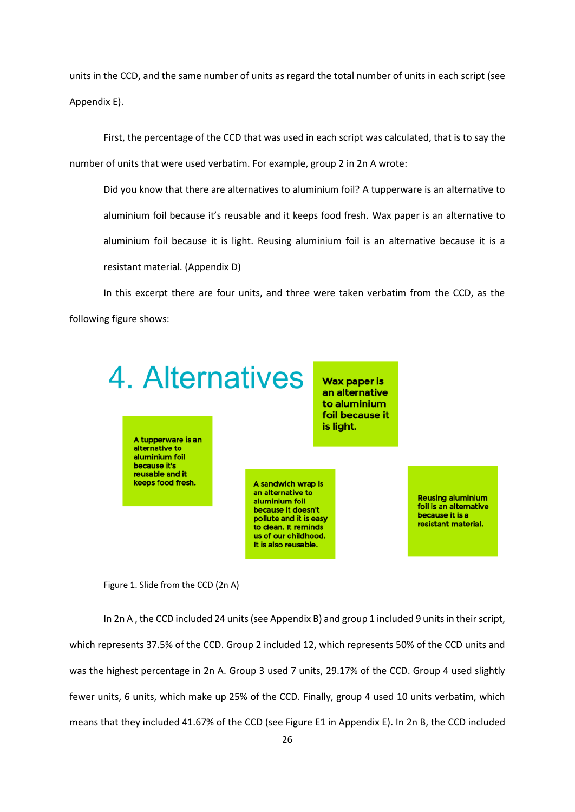units in the CCD, and the same number of units as regard the total number of units in each script (see Appendix E).

First, the percentage of the CCD that was used in each script was calculated, that is to say the number of units that were used verbatim. For example, group 2 in 2n A wrote:

Did you know that there are alternatives to aluminium foil? A tupperware is an alternative to aluminium foil because it's reusable and it keeps food fresh. Wax paper is an alternative to aluminium foil because it is light. Reusing aluminium foil is an alternative because it is a resistant material. (Appendix D)

In this excerpt there are four units, and three were taken verbatim from the CCD, as the following figure shows:



Figure 1. Slide from the CCD (2n A)

In 2n A , the CCD included 24 units (see Appendix B) and group 1 included 9 units in their script, which represents 37.5% of the CCD. Group 2 included 12, which represents 50% of the CCD units and was the highest percentage in 2n A. Group 3 used 7 units, 29.17% of the CCD. Group 4 used slightly fewer units, 6 units, which make up 25% of the CCD. Finally, group 4 used 10 units verbatim, which means that they included 41.67% of the CCD (see Figure E1 in Appendix E). In 2n B, the CCD included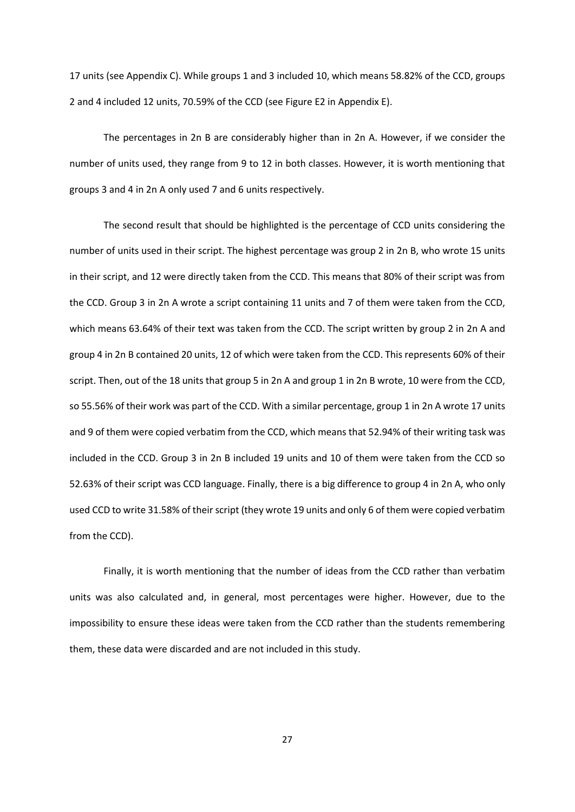17 units (see Appendix C). While groups 1 and 3 included 10, which means 58.82% of the CCD, groups 2 and 4 included 12 units, 70.59% of the CCD (see Figure E2 in Appendix E).

The percentages in 2n B are considerably higher than in 2n A. However, if we consider the number of units used, they range from 9 to 12 in both classes. However, it is worth mentioning that groups 3 and 4 in 2n A only used 7 and 6 units respectively.

The second result that should be highlighted is the percentage of CCD units considering the number of units used in their script. The highest percentage was group 2 in 2n B, who wrote 15 units in their script, and 12 were directly taken from the CCD. This means that 80% of their script was from the CCD. Group 3 in 2n A wrote a script containing 11 units and 7 of them were taken from the CCD, which means 63.64% of their text was taken from the CCD. The script written by group 2 in 2n A and group 4 in 2n B contained 20 units, 12 of which were taken from the CCD. This represents 60% of their script. Then, out of the 18 units that group 5 in 2n A and group 1 in 2n B wrote, 10 were from the CCD, so 55.56% of their work was part of the CCD. With a similar percentage, group 1 in 2n A wrote 17 units and 9 of them were copied verbatim from the CCD, which means that 52.94% of their writing task was included in the CCD. Group 3 in 2n B included 19 units and 10 of them were taken from the CCD so 52.63% of their script was CCD language. Finally, there is a big difference to group 4 in 2n A, who only used CCD to write 31.58% of their script (they wrote 19 units and only 6 of them were copied verbatim from the CCD).

Finally, it is worth mentioning that the number of ideas from the CCD rather than verbatim units was also calculated and, in general, most percentages were higher. However, due to the impossibility to ensure these ideas were taken from the CCD rather than the students remembering them, these data were discarded and are not included in this study.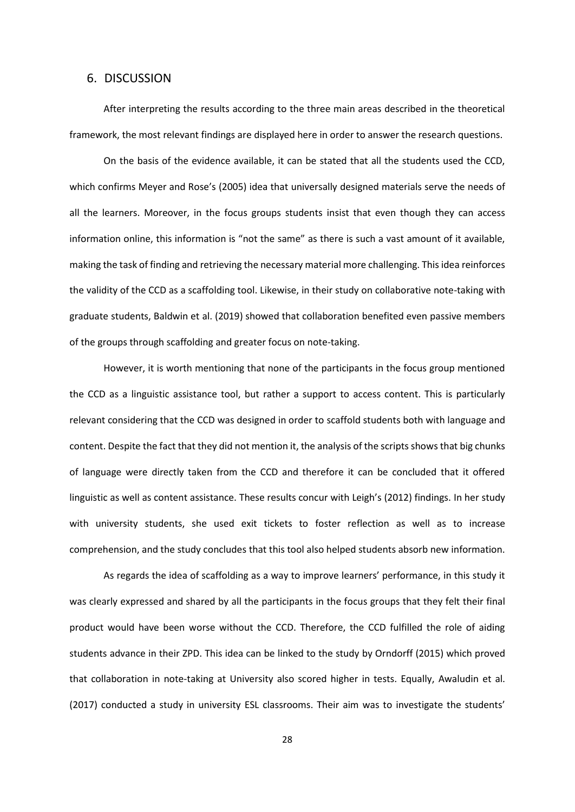# 6. DISCUSSION

After interpreting the results according to the three main areas described in the theoretical framework, the most relevant findings are displayed here in order to answer the research questions.

On the basis of the evidence available, it can be stated that all the students used the CCD, which confirms Meyer and Rose's (2005) idea that universally designed materials serve the needs of all the learners. Moreover, in the focus groups students insist that even though they can access information online, this information is "not the same" as there is such a vast amount of it available, making the task of finding and retrieving the necessary material more challenging. This idea reinforces the validity of the CCD as a scaffolding tool. Likewise, in their study on collaborative note-taking with graduate students, Baldwin et al. (2019) showed that collaboration benefited even passive members of the groups through scaffolding and greater focus on note-taking.

However, it is worth mentioning that none of the participants in the focus group mentioned the CCD as a linguistic assistance tool, but rather a support to access content. This is particularly relevant considering that the CCD was designed in order to scaffold students both with language and content. Despite the fact that they did not mention it, the analysis of the scripts shows that big chunks of language were directly taken from the CCD and therefore it can be concluded that it offered linguistic as well as content assistance. These results concur with Leigh's (2012) findings. In her study with university students, she used exit tickets to foster reflection as well as to increase comprehension, and the study concludes that this tool also helped students absorb new information.

As regards the idea of scaffolding as a way to improve learners' performance, in this study it was clearly expressed and shared by all the participants in the focus groups that they felt their final product would have been worse without the CCD. Therefore, the CCD fulfilled the role of aiding students advance in their ZPD. This idea can be linked to the study by Orndorff (2015) which proved that collaboration in note-taking at University also scored higher in tests. Equally, Awaludin et al. (2017) conducted a study in university ESL classrooms. Their aim was to investigate the students'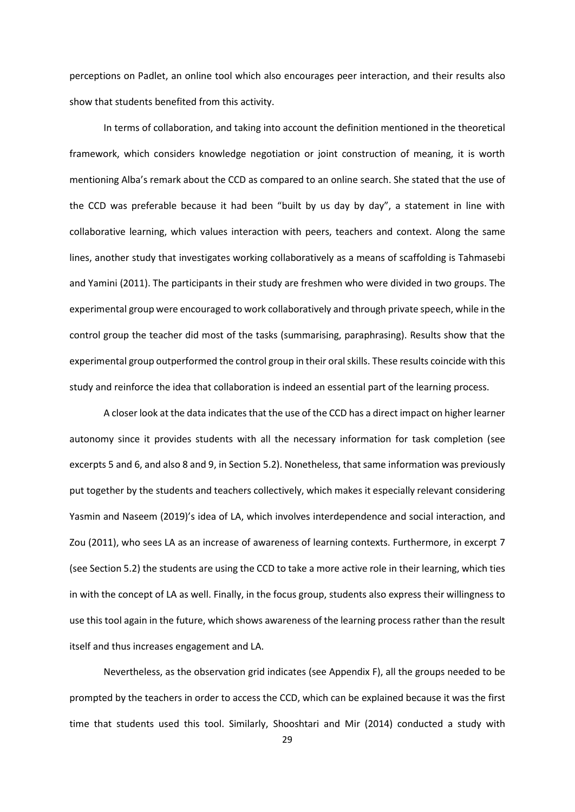perceptions on Padlet, an online tool which also encourages peer interaction, and their results also show that students benefited from this activity.

In terms of collaboration, and taking into account the definition mentioned in the theoretical framework, which considers knowledge negotiation or joint construction of meaning, it is worth mentioning Alba's remark about the CCD as compared to an online search. She stated that the use of the CCD was preferable because it had been "built by us day by day", a statement in line with collaborative learning, which values interaction with peers, teachers and context. Along the same lines, another study that investigates working collaboratively as a means of scaffolding is Tahmasebi and Yamini (2011). The participants in their study are freshmen who were divided in two groups. The experimental group were encouraged to work collaboratively and through private speech, while in the control group the teacher did most of the tasks (summarising, paraphrasing). Results show that the experimental group outperformed the control group in their oral skills. These results coincide with this study and reinforce the idea that collaboration is indeed an essential part of the learning process.

A closer look at the data indicates that the use of the CCD has a direct impact on higher learner autonomy since it provides students with all the necessary information for task completion (see excerpts 5 and 6, and also 8 and 9, in Section 5.2). Nonetheless, that same information was previously put together by the students and teachers collectively, which makes it especially relevant considering Yasmin and Naseem (2019)'s idea of LA, which involves interdependence and social interaction, and Zou (2011), who sees LA as an increase of awareness of learning contexts. Furthermore, in excerpt 7 (see Section 5.2) the students are using the CCD to take a more active role in their learning, which ties in with the concept of LA as well. Finally, in the focus group, students also express their willingness to use this tool again in the future, which shows awareness of the learning process rather than the result itself and thus increases engagement and LA.

Nevertheless, as the observation grid indicates (see Appendix F), all the groups needed to be prompted by the teachers in order to access the CCD, which can be explained because it was the first time that students used this tool. Similarly, Shooshtari and Mir (2014) conducted a study with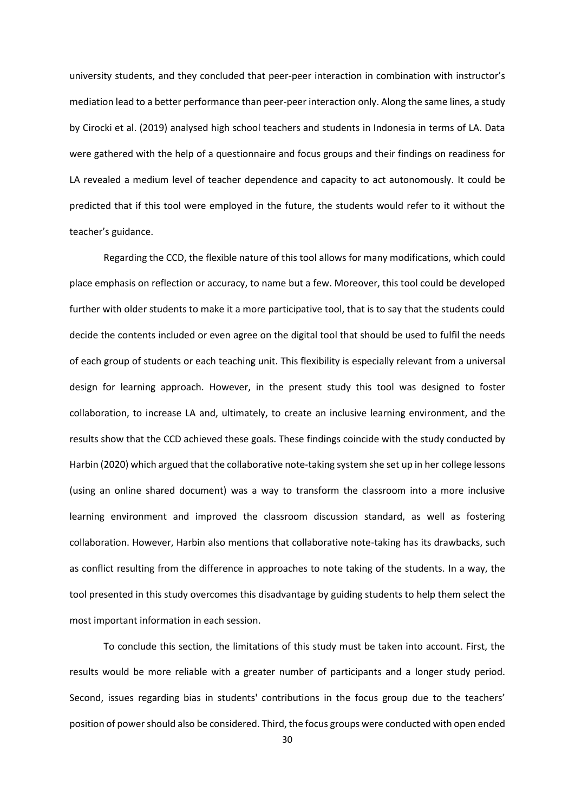university students, and they concluded that peer-peer interaction in combination with instructor's mediation lead to a better performance than peer-peer interaction only. Along the same lines, a study by Cirocki et al. (2019) analysed high school teachers and students in Indonesia in terms of LA. Data were gathered with the help of a questionnaire and focus groups and their findings on readiness for LA revealed a medium level of teacher dependence and capacity to act autonomously. It could be predicted that if this tool were employed in the future, the students would refer to it without the teacher's guidance.

Regarding the CCD, the flexible nature of this tool allows for many modifications, which could place emphasis on reflection or accuracy, to name but a few. Moreover, this tool could be developed further with older students to make it a more participative tool, that is to say that the students could decide the contents included or even agree on the digital tool that should be used to fulfil the needs of each group of students or each teaching unit. This flexibility is especially relevant from a universal design for learning approach. However, in the present study this tool was designed to foster collaboration, to increase LA and, ultimately, to create an inclusive learning environment, and the results show that the CCD achieved these goals. These findings coincide with the study conducted by Harbin (2020) which argued that the collaborative note-taking system she set up in her college lessons (using an online shared document) was a way to transform the classroom into a more inclusive learning environment and improved the classroom discussion standard, as well as fostering collaboration. However, Harbin also mentions that collaborative note-taking has its drawbacks, such as conflict resulting from the difference in approaches to note taking of the students. In a way, the tool presented in this study overcomes this disadvantage by guiding students to help them select the most important information in each session.

To conclude this section, the limitations of this study must be taken into account. First, the results would be more reliable with a greater number of participants and a longer study period. Second, issues regarding bias in students' contributions in the focus group due to the teachers' position of power should also be considered. Third, the focus groups were conducted with open ended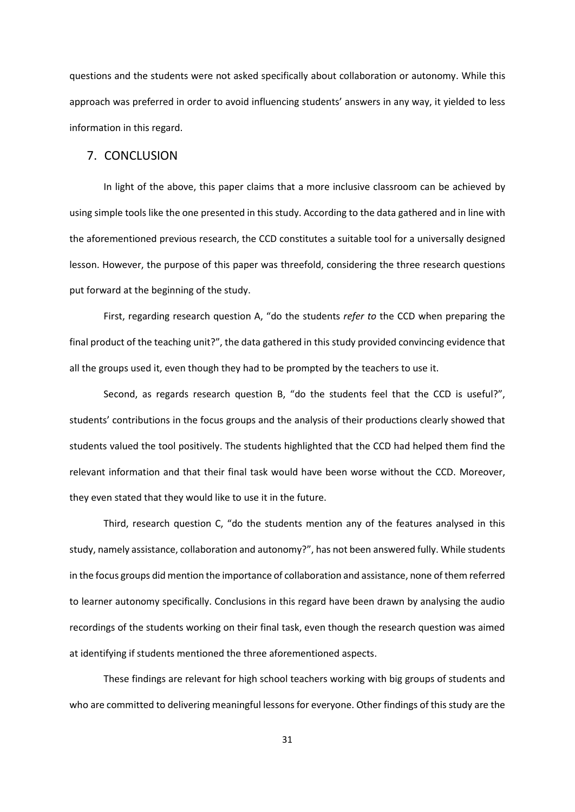questions and the students were not asked specifically about collaboration or autonomy. While this approach was preferred in order to avoid influencing students' answers in any way, it yielded to less information in this regard.

# 7. CONCLUSION

In light of the above, this paper claims that a more inclusive classroom can be achieved by using simple tools like the one presented in this study. According to the data gathered and in line with the aforementioned previous research, the CCD constitutes a suitable tool for a universally designed lesson. However, the purpose of this paper was threefold, considering the three research questions put forward at the beginning of the study.

First, regarding research question A, "do the students *refer to* the CCD when preparing the final product of the teaching unit?", the data gathered in this study provided convincing evidence that all the groups used it, even though they had to be prompted by the teachers to use it.

Second, as regards research question B, "do the students feel that the CCD is useful?", students' contributions in the focus groups and the analysis of their productions clearly showed that students valued the tool positively. The students highlighted that the CCD had helped them find the relevant information and that their final task would have been worse without the CCD. Moreover, they even stated that they would like to use it in the future.

Third, research question C, "do the students mention any of the features analysed in this study, namely assistance, collaboration and autonomy?", has not been answered fully. While students in the focus groups did mention the importance of collaboration and assistance, none of them referred to learner autonomy specifically. Conclusions in this regard have been drawn by analysing the audio recordings of the students working on their final task, even though the research question was aimed at identifying if students mentioned the three aforementioned aspects.

These findings are relevant for high school teachers working with big groups of students and who are committed to delivering meaningful lessons for everyone. Other findings of this study are the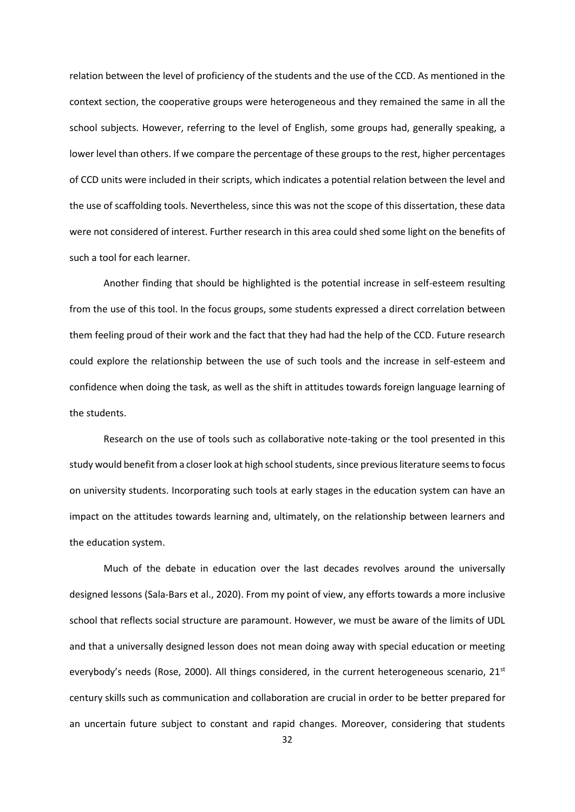relation between the level of proficiency of the students and the use of the CCD. As mentioned in the context section, the cooperative groups were heterogeneous and they remained the same in all the school subjects. However, referring to the level of English, some groups had, generally speaking, a lower level than others. If we compare the percentage of these groups to the rest, higher percentages of CCD units were included in their scripts, which indicates a potential relation between the level and the use of scaffolding tools. Nevertheless, since this was not the scope of this dissertation, these data were not considered of interest. Further research in this area could shed some light on the benefits of such a tool for each learner.

Another finding that should be highlighted is the potential increase in self-esteem resulting from the use of this tool. In the focus groups, some students expressed a direct correlation between them feeling proud of their work and the fact that they had had the help of the CCD. Future research could explore the relationship between the use of such tools and the increase in self-esteem and confidence when doing the task, as well as the shift in attitudes towards foreign language learning of the students.

Research on the use of tools such as collaborative note-taking or the tool presented in this study would benefit from a closer look at high school students, since previous literature seems to focus on university students. Incorporating such tools at early stages in the education system can have an impact on the attitudes towards learning and, ultimately, on the relationship between learners and the education system.

Much of the debate in education over the last decades revolves around the universally designed lessons (Sala-Bars et al., 2020). From my point of view, any efforts towards a more inclusive school that reflects social structure are paramount. However, we must be aware of the limits of UDL and that a universally designed lesson does not mean doing away with special education or meeting everybody's needs (Rose, 2000). All things considered, in the current heterogeneous scenario,  $21<sup>st</sup>$ century skills such as communication and collaboration are crucial in order to be better prepared for an uncertain future subject to constant and rapid changes. Moreover, considering that students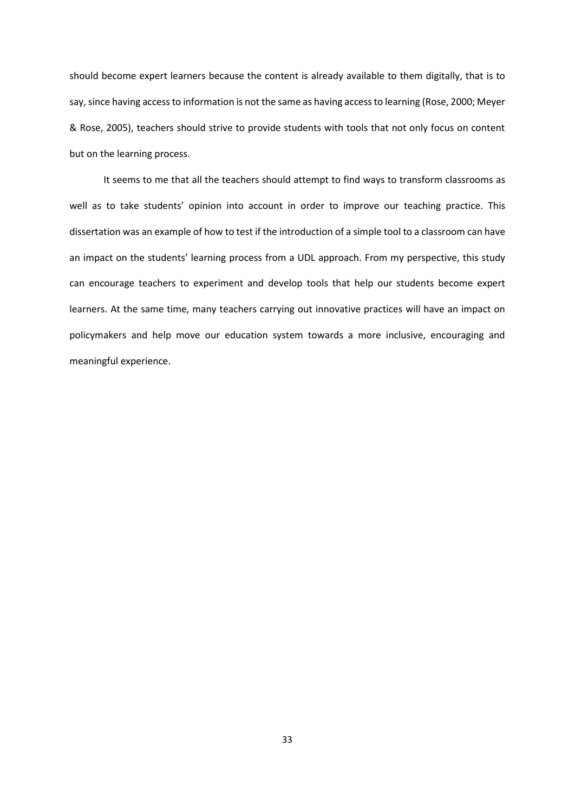should become expert learners because the content is already available to them digitally, that is to say, since having access to information is not the same as having access to learning (Rose, 2000; Meyer & Rose, 2005), teachers should strive to provide students with tools that not only focus on content but on the learning process.

It seems to me that all the teachers should attempt to find ways to transform classrooms as well as to take students' opinion into account in order to improve our teaching practice. This dissertation was an example of how to test if the introduction of a simple tool to a classroom can have an impact on the students' learning process from a UDL approach. From my perspective, this study can encourage teachers to experiment and develop tools that help our students become expert learners. At the same time, many teachers carrying out innovative practices will have an impact on policymakers and help move our education system towards a more inclusive, encouraging and meaningful experience.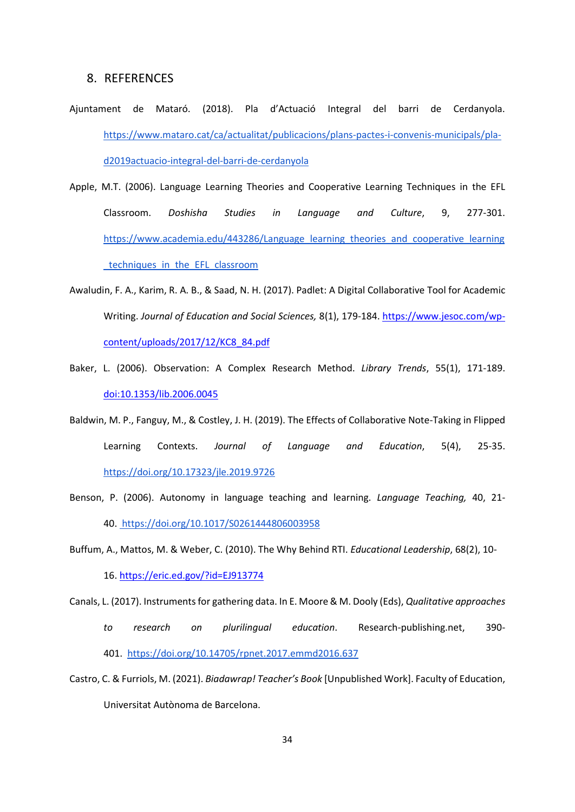# 8. REFERENCES

- Ajuntament de Mataró. (2018). Pla d'Actuació Integral del barri de Cerdanyola. [https://www.mataro.cat/ca/actualitat/publicacions/plans-pactes-i-convenis-municipals/pla](https://www.mataro.cat/ca/actualitat/publicacions/plans-pactes-i-convenis-municipals/pla-d2019actuacio-integral-del-barri-de-cerdanyola)[d2019actuacio-integral-del-barri-de-cerdanyola](https://www.mataro.cat/ca/actualitat/publicacions/plans-pactes-i-convenis-municipals/pla-d2019actuacio-integral-del-barri-de-cerdanyola)
- Apple, M.T. (2006). Language Learning Theories and Cooperative Learning Techniques in the EFL Classroom. *Doshisha Studies in Language and Culture*, 9, 277-301. [https://www.academia.edu/443286/Language\\_learning\\_theories\\_and\\_cooperative\\_learning](https://www.academia.edu/443286/Language_learning_theories_and_cooperative_learning_techniques_in_the_EFL_classroom) [\\_techniques\\_in\\_the\\_EFL\\_classroom](https://www.academia.edu/443286/Language_learning_theories_and_cooperative_learning_techniques_in_the_EFL_classroom)
- Awaludin, F. A., Karim, R. A. B., & Saad, N. H. (2017). Padlet: A Digital Collaborative Tool for Academic Writing. *Journal of Education and Social Sciences,* 8(1), 179-184. [https://www.jesoc.com/wp](https://www.jesoc.com/wp-content/uploads/2017/12/KC8_84.pdf)[content/uploads/2017/12/KC8\\_84.pdf](https://www.jesoc.com/wp-content/uploads/2017/12/KC8_84.pdf)
- Baker, L. (2006). Observation: A Complex Research Method. *Library Trends*, 55(1), 171-189. [doi:10.1353/lib.2006.0045](http://doi.org/10.1353/lib.2006.0045)
- Baldwin, M. P., Fanguy, M., & Costley, J. H. (2019). The Effects of Collaborative Note-Taking in Flipped Learning Contexts. *Journal of Language and Education*, 5(4), 25-35. <https://doi.org/10.17323/jle.2019.9726>
- Benson, P. (2006). Autonomy in language teaching and learning. *Language Teaching,* 40, 21- 40. <https://doi.org/10.1017/S0261444806003958>
- Buffum, A., Mattos, M. & Weber, C. (2010). The Why Behind RTI. *Educational Leadership*, 68(2), 10-

16. <https://eric.ed.gov/?id=EJ913774>

- Canals, L. (2017). Instruments for gathering data. In E. Moore & M. Dooly (Eds), *Qualitative approaches to research on plurilingual education*. Research-publishing.net, 390- 401. <https://doi.org/10.14705/rpnet.2017.emmd2016.637>
- Castro, C. & Furriols, M. (2021). *Biadawrap! Teacher's Book* [Unpublished Work]. Faculty of Education, Universitat Autònoma de Barcelona.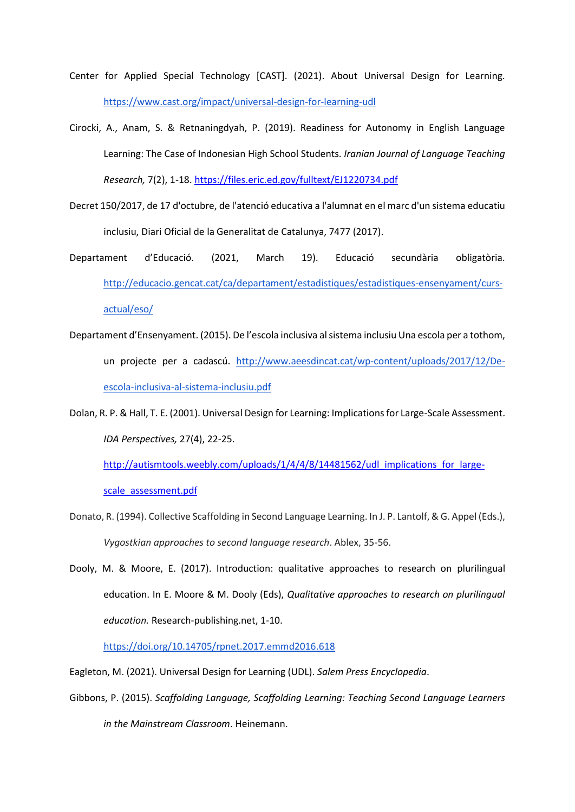- Center for Applied Special Technology [CAST]. (2021). About Universal Design for Learning. <https://www.cast.org/impact/universal-design-for-learning-udl>
- Cirocki, A., Anam, S. & Retnaningdyah, P. (2019). Readiness for Autonomy in English Language Learning: The Case of Indonesian High School Students. *Iranian Journal of Language Teaching Research,* 7(2), 1-18. <https://files.eric.ed.gov/fulltext/EJ1220734.pdf>
- Decret 150/2017, de 17 d'octubre, de l'atenció educativa a l'alumnat en el marc d'un sistema educatiu inclusiu, Diari Oficial de la Generalitat de Catalunya, 7477 (2017).
- Departament d'Educació. (2021, March 19). Educació secundària obligatòria. [http://educacio.gencat.cat/ca/departament/estadistiques/estadistiques-ensenyament/curs](http://educacio.gencat.cat/ca/departament/estadistiques/estadistiques-ensenyament/curs-actual/eso/)[actual/eso/](http://educacio.gencat.cat/ca/departament/estadistiques/estadistiques-ensenyament/curs-actual/eso/)
- Departament d'Ensenyament. (2015). De l'escola inclusiva al sistema inclusiu Una escola per a tothom, un projecte per a cadascú. [http://www.aeesdincat.cat/wp-content/uploads/2017/12/De](http://www.aeesdincat.cat/wp-content/uploads/2017/12/De-escola-inclusiva-al-sistema-inclusiu.pdf)[escola-inclusiva-al-sistema-inclusiu.pdf](http://www.aeesdincat.cat/wp-content/uploads/2017/12/De-escola-inclusiva-al-sistema-inclusiu.pdf)
- Dolan, R. P. & Hall, T. E. (2001). Universal Design for Learning: Implications for Large-Scale Assessment. *IDA Perspectives,* 27(4), 22-25.

[http://autismtools.weebly.com/uploads/1/4/4/8/14481562/udl\\_implications\\_for\\_large](http://autismtools.weebly.com/uploads/1/4/4/8/14481562/udl_implications_for_large-scale_assessment.pdf)[scale\\_assessment.pdf](http://autismtools.weebly.com/uploads/1/4/4/8/14481562/udl_implications_for_large-scale_assessment.pdf)

- Donato, R. (1994). Collective Scaffolding in Second Language Learning. In J. P. Lantolf, & G. Appel (Eds.), *Vygostkian approaches to second language research*. Ablex, 35-56.
- Dooly, M. & Moore, E. (2017). Introduction: qualitative approaches to research on plurilingual education. In E. Moore & M. Dooly (Eds), *Qualitative approaches to research on plurilingual education.* Research-publishing.net, 1-10.

<https://doi.org/10.14705/rpnet.2017.emmd2016.618>

Eagleton, M. (2021). Universal Design for Learning (UDL). *Salem Press Encyclopedia*.

Gibbons, P. (2015). *Scaffolding Language, Scaffolding Learning: Teaching Second Language Learners in the Mainstream Classroom*. Heinemann.

35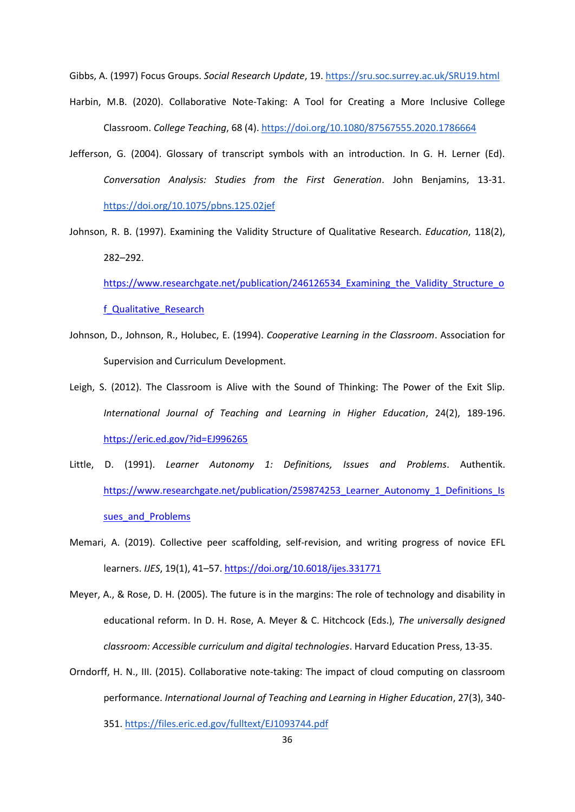Gibbs, A. (1997) Focus Groups. *Social Research Update*, 19.<https://sru.soc.surrey.ac.uk/SRU19.html>

- Harbin, M.B. (2020). Collaborative Note-Taking: A Tool for Creating a More Inclusive College Classroom. *College Teaching*, 68 (4). <https://doi.org/10.1080/87567555.2020.1786664>
- Jefferson, G. (2004). Glossary of transcript symbols with an introduction. In G. H. Lerner (Ed). *Conversation Analysis: Studies from the First Generation*. John Benjamins, 13-31. <https://doi.org/10.1075/pbns.125.02jef>
- Johnson, R. B. (1997). Examining the Validity Structure of Qualitative Research. *Education*, 118(2), 282–292.

https://www.researchgate.net/publication/246126534 Examining the Validity Structure o f Qualitative Research

- Johnson, D., Johnson, R., Holubec, E. (1994). *Cooperative Learning in the Classroom*. Association for Supervision and Curriculum Development.
- Leigh, S. (2012). The Classroom is Alive with the Sound of Thinking: The Power of the Exit Slip. *International Journal of Teaching and Learning in Higher Education*, 24(2), 189-196. <https://eric.ed.gov/?id=EJ996265>
- Little, D. (1991). *Learner Autonomy 1: Definitions, Issues and Problems*. Authentik. [https://www.researchgate.net/publication/259874253\\_Learner\\_Autonomy\\_1\\_Definitions\\_Is](https://www.researchgate.net/publication/259874253_Learner_Autonomy_1_Definitions_Issues_and_Problems) sues and Problems
- Memari, A. (2019). Collective peer scaffolding, self-revision, and writing progress of novice EFL learners. *IJES*, 19(1), 41–57[. https://doi.org/10.6018/ijes.331771](https://doi.org/10.6018/ijes.331771)
- Meyer, A., & Rose, D. H. (2005). The future is in the margins: The role of technology and disability in educational reform. In D. H. Rose, A. Meyer & C. Hitchcock (Eds.), *The universally designed classroom: Accessible curriculum and digital technologies*. Harvard Education Press, 13-35.
- Orndorff, H. N., III. (2015). Collaborative note-taking: The impact of cloud computing on classroom performance. *International Journal of Teaching and Learning in Higher Education*, 27(3), 340- 351.<https://files.eric.ed.gov/fulltext/EJ1093744.pdf>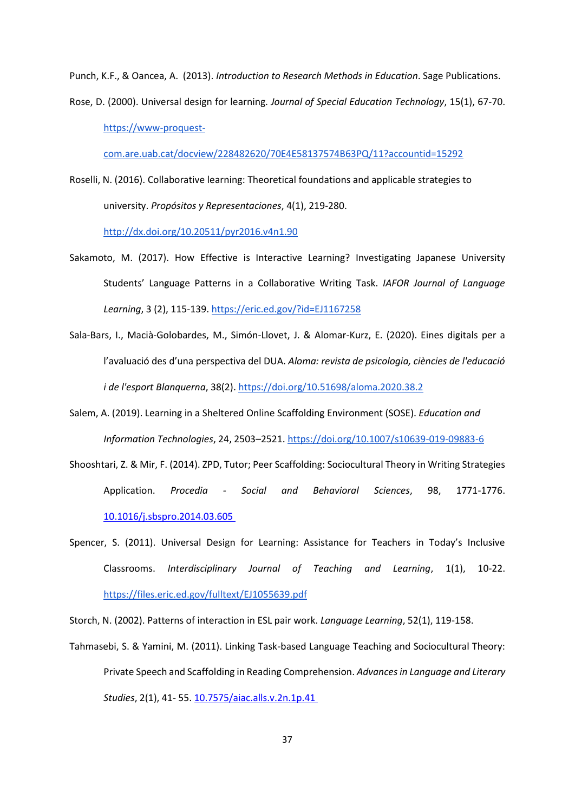Punch, K.F., & Oancea, A. (2013). *Introduction to Research Methods in Education*. Sage Publications.

Rose, D. (2000). Universal design for learning. *Journal of Special Education Technology*, 15(1), 67-70. [https://www-proquest-](https://www-proquest-com.are.uab.cat/docview/228482620/70E4E58137574B63PQ/11?accountid=15292)

[com.are.uab.cat/docview/228482620/70E4E58137574B63PQ/11?accountid=15292](https://www-proquest-com.are.uab.cat/docview/228482620/70E4E58137574B63PQ/11?accountid=15292)

Roselli, N. (2016). Collaborative learning: Theoretical foundations and applicable strategies to university. *Propósitos y Representaciones*, 4(1), 219-280.

<http://dx.doi.org/10.20511/pyr2016.v4n1.90>

- Sakamoto, M. (2017). How Effective is Interactive Learning? Investigating Japanese University Students' Language Patterns in a Collaborative Writing Task. *IAFOR Journal of Language Learning*, 3 (2), 115-139.<https://eric.ed.gov/?id=EJ1167258>
- Sala-Bars, I., Macià-Golobardes, M., Simón-Llovet, J. & Alomar-Kurz, E. (2020). Eines digitals per a l'avaluació des d'una perspectiva del DUA. *Aloma: revista de psicologia, ciències de l'educació i de l'esport Blanquerna*, 38(2).<https://doi.org/10.51698/aloma.2020.38.2>
- Salem, A. (2019). Learning in a Sheltered Online Scaffolding Environment (SOSE). *Education and Information Technologies*, 24, 2503–2521.<https://doi.org/10.1007/s10639-019-09883-6>
- Shooshtari, Z. & Mir, F. (2014). ZPD, Tutor; Peer Scaffolding: Sociocultural Theory in Writing Strategies Application. *Procedia - Social and Behavioral Sciences*, 98, 1771-1776. <10.1016/j.sbspro.2014.03.605>
- Spencer, S. (2011). Universal Design for Learning: Assistance for Teachers in Today's Inclusive Classrooms. *Interdisciplinary Journal of Teaching and Learning*, 1(1), 10-22. <https://files.eric.ed.gov/fulltext/EJ1055639.pdf>

Storch, N. (2002). Patterns of interaction in ESL pair work. *Language Learning*, 52(1), 119-158.

Tahmasebi, S. & Yamini, M. (2011). Linking Task-based Language Teaching and Sociocultural Theory: Private Speech and Scaffolding in Reading Comprehension. *Advances in Language and Literary Studies*, 2(1), 41- 55. <10.7575/aiac.alls.v.2n.1p.41>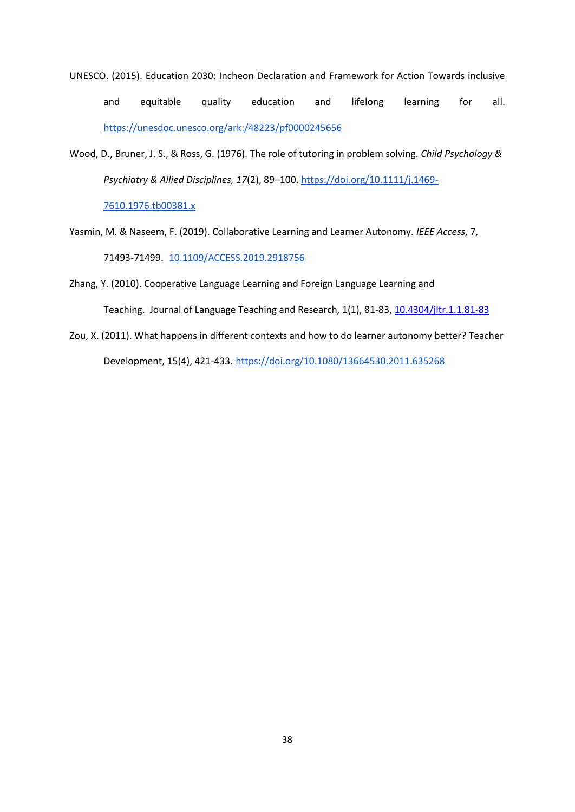- UNESCO. (2015). Education 2030: Incheon Declaration and Framework for Action Towards inclusive and equitable quality education and lifelong learning for all. <https://unesdoc.unesco.org/ark:/48223/pf0000245656>
- Wood, D., Bruner, J. S., & Ross, G. (1976). The role of tutoring in problem solving. *Child Psychology & Psychiatry & Allied Disciplines, 17*(2), 89–100. [https://doi.org/10.1111/j.1469-](https://psycnet.apa.org/doi/10.1111/j.1469-7610.1976.tb00381.x)

[7610.1976.tb00381.x](https://psycnet.apa.org/doi/10.1111/j.1469-7610.1976.tb00381.x)

- Yasmin, M. & Naseem, F. (2019). Collaborative Learning and Learner Autonomy. *IEEE Access*, 7, 71493-71499. [10.1109/ACCESS.2019.2918756](https://doi.org/10.1109/ACCESS.2019.2918756)
- Zhang, Y. (2010). Cooperative Language Learning and Foreign Language Learning and Teaching. Journal of Language Teaching and Research, 1(1), 81-83[, 10.4304/jltr.1.1.81-83](10.4304/jltr.1.1.81-83)
- Zou, X. (2011). What happens in different contexts and how to do learner autonomy better? Teacher Development, 15(4), 421-433. <https://doi.org/10.1080/13664530.2011.635268>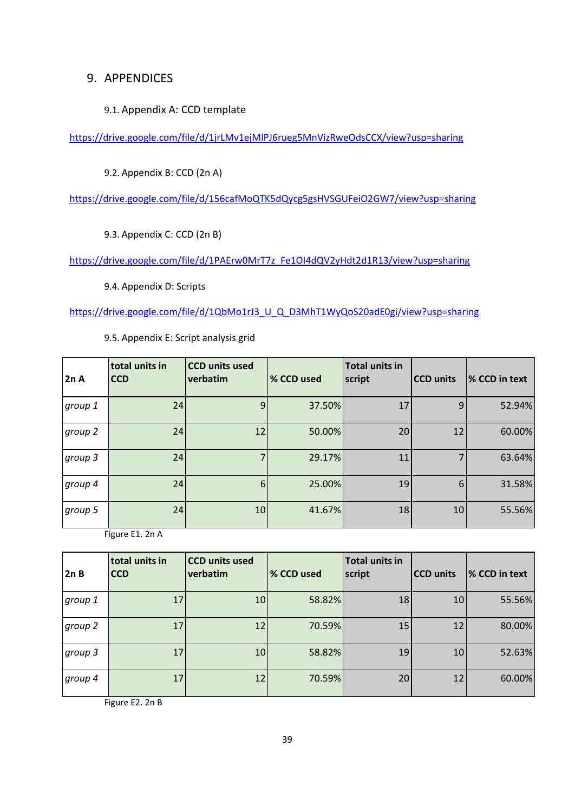# 9. APPENDICES

# 9.1. Appendix A: CCD template

<https://drive.google.com/file/d/1jrLMv1ejMlPJ6rueg5MnVizRweOdsCCX/view?usp=sharing>

9.2. Appendix B: CCD (2n A)

<https://drive.google.com/file/d/156cafMoQTK5dQycg5gsHVSGUFeiO2GW7/view?usp=sharing>

9.3. Appendix C: CCD (2n B)

[https://drive.google.com/file/d/1PAErw0MrT7z\\_Fe1OI4dQV2yHdt2d1R13/view?usp=sharing](https://drive.google.com/file/d/1PAErw0MrT7z_Fe1OI4dQV2yHdt2d1R13/view?usp=sharing)

9.4. Appendix D: Scripts

[https://drive.google.com/file/d/1QbMo1rJ3\\_U\\_Q\\_D3MhT1WyQoS20adE0gi/view?usp=sharing](https://drive.google.com/file/d/1QbMo1rJ3_U_Q_D3MhT1WyQoS20adE0gi/view?usp=sharing)

| 2nA     | total units in<br><b>CCD</b> | <b>CCD</b> units used<br>verbatim | <b>% CCD used</b> | <b>Total units in</b><br>script | <b>CCD</b> units | % CCD in text |
|---------|------------------------------|-----------------------------------|-------------------|---------------------------------|------------------|---------------|
| group 1 | 24                           | 9                                 | 37.50%            | 17                              | 9                | 52.94%        |
| group 2 | 24                           | 12                                | 50.00%            | 20                              | 12               | 60.00%        |
| group 3 | 24                           |                                   | 29.17%            | 11                              |                  | 63.64%        |
| group 4 | 24                           | 6                                 | 25.00%            | 19                              | 6                | 31.58%        |
| group 5 | 24                           | 10                                | 41.67%            | 18                              | 10               | 55.56%        |

9.5. Appendix E: Script analysis grid

Figure E1. 2n A

| 2nB     | total units in<br><b>CCD</b> | <b>CCD</b> units used<br>verbatim | % CCD used | <b>Total units in</b><br>script | <b>CCD</b> units | % CCD in text |
|---------|------------------------------|-----------------------------------|------------|---------------------------------|------------------|---------------|
| group 1 | 17                           | 10                                | 58.82%     | 18                              | 10               | 55.56%        |
| group 2 | 17                           | 12                                | 70.59%     | 15                              | 12               | 80.00%        |
| group 3 | 17                           | 10                                | 58.82%     | 19                              | 10               | 52.63%        |
| group 4 | 17                           | 12                                | 70.59%     | 20                              | 12               | 60.00%        |

Figure E2. 2n B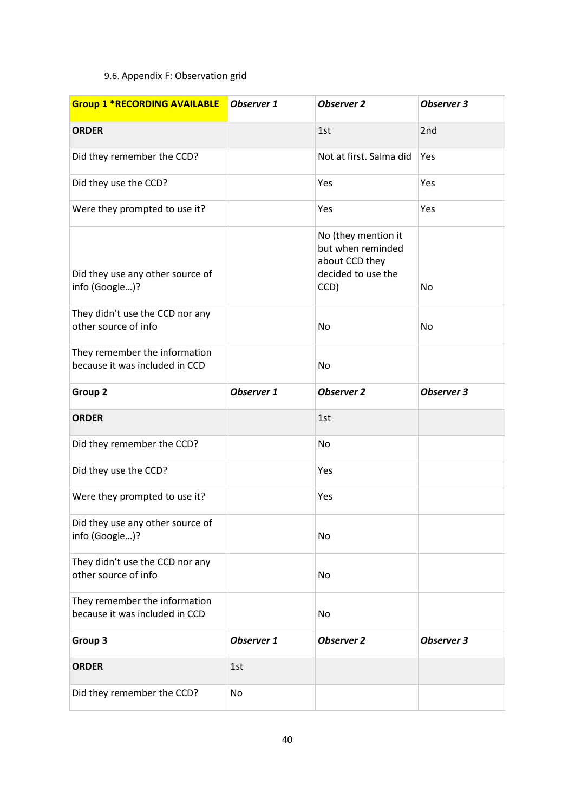# 9.6. Appendix F: Observation grid

| <b>Group 1 *RECORDING AVAILABLE</b>                             | Observer 1 | <b>Observer 2</b>                                                                        | <b>Observer 3</b> |
|-----------------------------------------------------------------|------------|------------------------------------------------------------------------------------------|-------------------|
| <b>ORDER</b>                                                    |            | 1st                                                                                      | 2nd               |
| Did they remember the CCD?                                      |            | Not at first. Salma did                                                                  | Yes               |
| Did they use the CCD?                                           |            | Yes                                                                                      | Yes               |
| Were they prompted to use it?                                   |            | Yes                                                                                      | Yes               |
| Did they use any other source of<br>info (Google)?              |            | No (they mention it<br>but when reminded<br>about CCD they<br>decided to use the<br>CCD) | No                |
| They didn't use the CCD nor any<br>other source of info         |            | No                                                                                       | No                |
| They remember the information<br>because it was included in CCD |            | <b>No</b>                                                                                |                   |
| Group <sub>2</sub>                                              | Observer 1 | <b>Observer 2</b>                                                                        | <b>Observer 3</b> |
| <b>ORDER</b>                                                    |            | 1st                                                                                      |                   |
| Did they remember the CCD?                                      |            | No                                                                                       |                   |
| Did they use the CCD?                                           |            | Yes                                                                                      |                   |
| Were they prompted to use it?                                   |            | Yes                                                                                      |                   |
| Did they use any other source of<br>info (Google)?              |            | No                                                                                       |                   |
| They didn't use the CCD nor any<br>other source of info         |            | No                                                                                       |                   |
| They remember the information<br>because it was included in CCD |            | No                                                                                       |                   |
| Group 3                                                         | Observer 1 | <b>Observer 2</b>                                                                        | <b>Observer 3</b> |
| <b>ORDER</b>                                                    | 1st        |                                                                                          |                   |
| Did they remember the CCD?                                      | No         |                                                                                          |                   |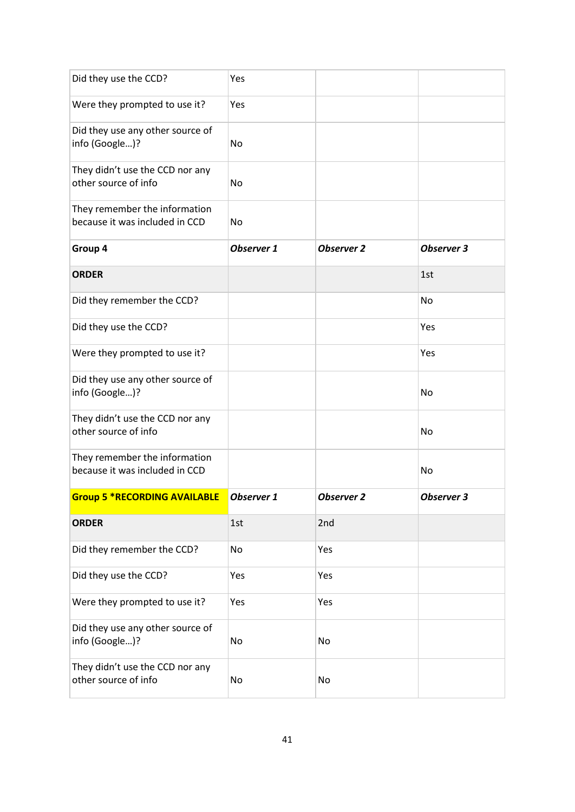| Did they use the CCD?                                           | Yes        |                   |                   |
|-----------------------------------------------------------------|------------|-------------------|-------------------|
| Were they prompted to use it?                                   | Yes        |                   |                   |
| Did they use any other source of<br>info (Google)?              | No         |                   |                   |
| They didn't use the CCD nor any<br>other source of info         | No         |                   |                   |
| They remember the information<br>because it was included in CCD | No         |                   |                   |
| Group 4                                                         | Observer 1 | <b>Observer 2</b> | <b>Observer 3</b> |
| <b>ORDER</b>                                                    |            |                   | 1st               |
| Did they remember the CCD?                                      |            |                   | No                |
| Did they use the CCD?                                           |            |                   | Yes               |
| Were they prompted to use it?                                   |            |                   | Yes               |
| Did they use any other source of<br>info (Google)?              |            |                   | No                |
| They didn't use the CCD nor any<br>other source of info         |            |                   | No                |
| They remember the information<br>because it was included in CCD |            |                   | No                |
| <b>Group 5 *RECORDING AVAILABLE</b>                             | Observer 1 | <b>Observer 2</b> | <b>Observer 3</b> |
| <b>ORDER</b>                                                    | 1st        | 2nd               |                   |
| Did they remember the CCD?                                      | No         | Yes               |                   |
| Did they use the CCD?                                           | Yes        | Yes               |                   |
| Were they prompted to use it?                                   | Yes        | Yes               |                   |
| Did they use any other source of<br>info (Google)?              | No         | No                |                   |
| They didn't use the CCD nor any<br>other source of info         | No         | No                |                   |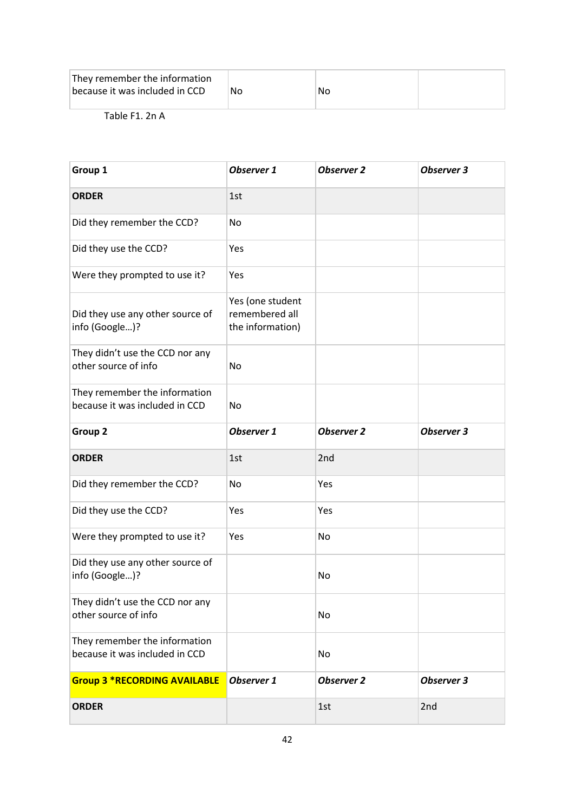| They remember the information  |    |    |  |
|--------------------------------|----|----|--|
| because it was included in CCD | No | No |  |
|                                |    |    |  |

Table F1. 2n A

| Group 1                                                         | Observer 1                                             | <b>Observer 2</b> | <b>Observer 3</b> |
|-----------------------------------------------------------------|--------------------------------------------------------|-------------------|-------------------|
| <b>ORDER</b>                                                    | 1st                                                    |                   |                   |
| Did they remember the CCD?                                      | No                                                     |                   |                   |
| Did they use the CCD?                                           | Yes                                                    |                   |                   |
| Were they prompted to use it?                                   | Yes                                                    |                   |                   |
| Did they use any other source of<br>info (Google)?              | Yes (one student<br>remembered all<br>the information) |                   |                   |
| They didn't use the CCD nor any<br>other source of info         | No.                                                    |                   |                   |
| They remember the information<br>because it was included in CCD | No                                                     |                   |                   |
| Group 2                                                         | <b>Observer 1</b>                                      | <b>Observer 2</b> | <b>Observer 3</b> |
| <b>ORDER</b>                                                    | 1st                                                    | 2nd               |                   |
| Did they remember the CCD?                                      | No                                                     | Yes               |                   |
| Did they use the CCD?                                           | Yes                                                    | Yes               |                   |
| Were they prompted to use it?                                   | Yes                                                    | No                |                   |
| Did they use any other source of<br>info (Google)?              |                                                        | No                |                   |
| They didn't use the CCD nor any<br>other source of info         |                                                        | No                |                   |
| They remember the information<br>because it was included in CCD |                                                        | No                |                   |
| <b>Group 3 *RECORDING AVAILABLE</b>                             | Observer 1                                             | <b>Observer 2</b> | Observer 3        |
| <b>ORDER</b>                                                    |                                                        | 1st               | 2nd               |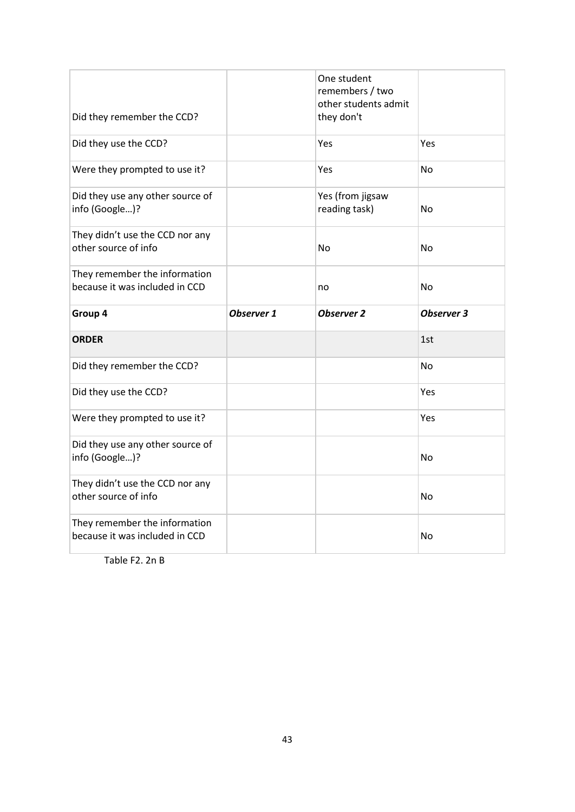| Did they remember the CCD?                                      |            | One student<br>remembers / two<br>other students admit<br>they don't |            |
|-----------------------------------------------------------------|------------|----------------------------------------------------------------------|------------|
| Did they use the CCD?                                           |            | Yes                                                                  | Yes        |
| Were they prompted to use it?                                   |            | Yes                                                                  | No         |
| Did they use any other source of<br>info (Google)?              |            | Yes (from jigsaw<br>reading task)                                    | <b>No</b>  |
| They didn't use the CCD nor any<br>other source of info         |            | <b>No</b>                                                            | <b>No</b>  |
| They remember the information<br>because it was included in CCD |            | no                                                                   | No         |
|                                                                 |            |                                                                      |            |
| Group 4                                                         | Observer 1 | <b>Observer 2</b>                                                    | Observer 3 |
| <b>ORDER</b>                                                    |            |                                                                      | 1st        |
| Did they remember the CCD?                                      |            |                                                                      | <b>No</b>  |
| Did they use the CCD?                                           |            |                                                                      | Yes        |
| Were they prompted to use it?                                   |            |                                                                      | Yes        |
| Did they use any other source of<br>info (Google)?              |            |                                                                      | <b>No</b>  |
| They didn't use the CCD nor any<br>other source of info         |            |                                                                      | <b>No</b>  |

Table F2. 2n B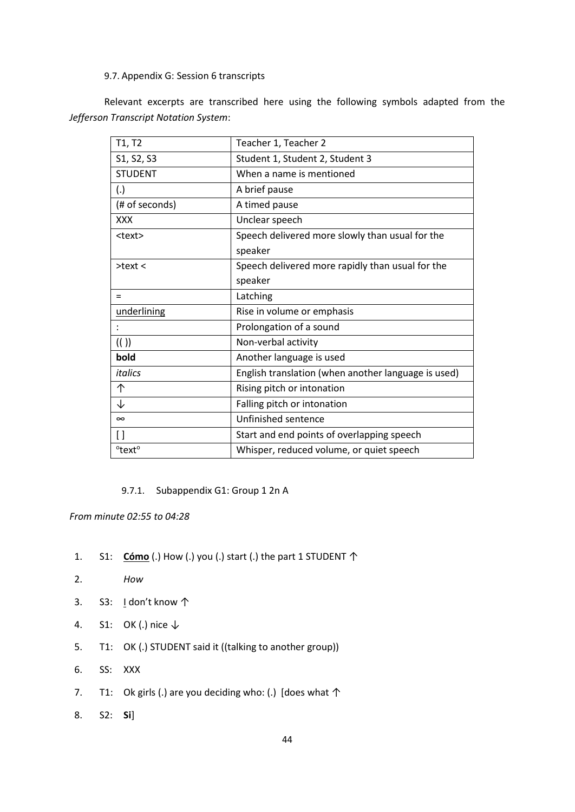# 9.7. Appendix G: Session 6 transcripts

Relevant excerpts are transcribed here using the following symbols adapted from the *Jefferson Transcript Notation System*:

| T1, T2             | Teacher 1, Teacher 2                                |
|--------------------|-----------------------------------------------------|
| S1, S2, S3         | Student 1, Student 2, Student 3                     |
| <b>STUDENT</b>     | When a name is mentioned                            |
| (.)                | A brief pause                                       |
| (# of seconds)     | A timed pause                                       |
| <b>XXX</b>         | Unclear speech                                      |
| <text></text>      | Speech delivered more slowly than usual for the     |
|                    | speaker                                             |
| $\gt$ text $\lt$   | Speech delivered more rapidly than usual for the    |
|                    | speaker                                             |
| $=$                | Latching                                            |
| underlining        | Rise in volume or emphasis                          |
|                    | Prolongation of a sound                             |
| (( )               | Non-verbal activity                                 |
| bold               | Another language is used                            |
| italics            | English translation (when another language is used) |
| 个                  | Rising pitch or intonation                          |
| ↓                  | Falling pitch or intonation                         |
| $\infty$           | Unfinished sentence                                 |
| $\left[ \ \right]$ | Start and end points of overlapping speech          |
| °text <sup>o</sup> | Whisper, reduced volume, or quiet speech            |

9.7.1. Subappendix G1: Group 1 2n A

# *From minute 02:55 to 04:28*

- 1. S1: **Cómo** (.) How (.) you (.) start (.) the part 1 STUDENT ↑
- 2. *How*
- 3. S3: I don't know ↑
- 4. S1: OK (.) nice ↓
- 5. T1: OK (.) STUDENT said it ((talking to another group))
- 6. SS: XXX
- 7. T1: Ok girls (.) are you deciding who: (.) [does what ↑
- 8. S2: **Si**]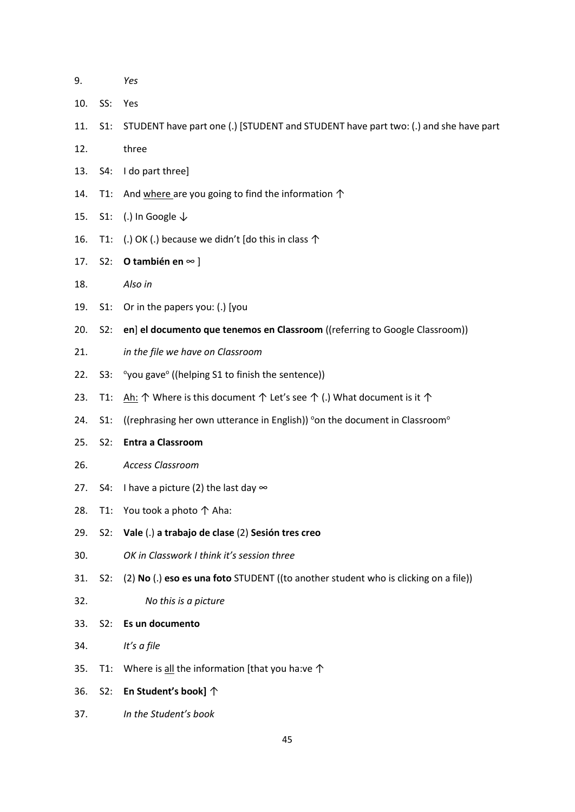- 9. *Yes*
- 10. SS: Yes
- 11. S1: STUDENT have part one (.) [STUDENT and STUDENT have part two: (.) and she have part
- 12. three
- 13. S4: I do part three]
- 14. T1: And where are you going to find the information ↑
- 15. S1: (.) In Google  $\downarrow$
- 16. T1: (.) OK (.) because we didn't [do this in class ↑
- 17. S2: **O también en** ∞ ]
- 18. *Also in*
- 19. S1: Or in the papers you: (.) [you
- 20. S2: **en**] **el documento que tenemos en Classroom** ((referring to Google Classroom))
- 21. *in the file we have on Classroom*
- 22. S3: °you gave° ((helping S1 to finish the sentence))
- 23. T1: Ah: ↑ Where is this document ↑ Let's see ↑ (.) What document is it ↑
- 24. S1: ((rephrasing her own utterance in English)) ° on the document in Classroom<sup>o</sup>
- 25. S2: **Entra a Classroom**
- 26. *Access Classroom*
- 27. S4: I have a picture (2) the last day  $\infty$
- 28. T1: You took a photo ↑ Aha:
- 29. S2: **Vale** (.) **a trabajo de clase** (2) **Sesión tres creo**
- 30. *OK in Classwork I think it's session three*
- 31. S2: (2) **No** (.) **eso es una foto** STUDENT ((to another student who is clicking on a file))
- 32. *No this is a picture*
- 33. S2: **Es un documento**
- 34. *It's a file*
- 35. T1: Where is all the information [that you ha:ve ↑
- 36. S2: **En Student's book]** ↑
- 37. *In the Student's book*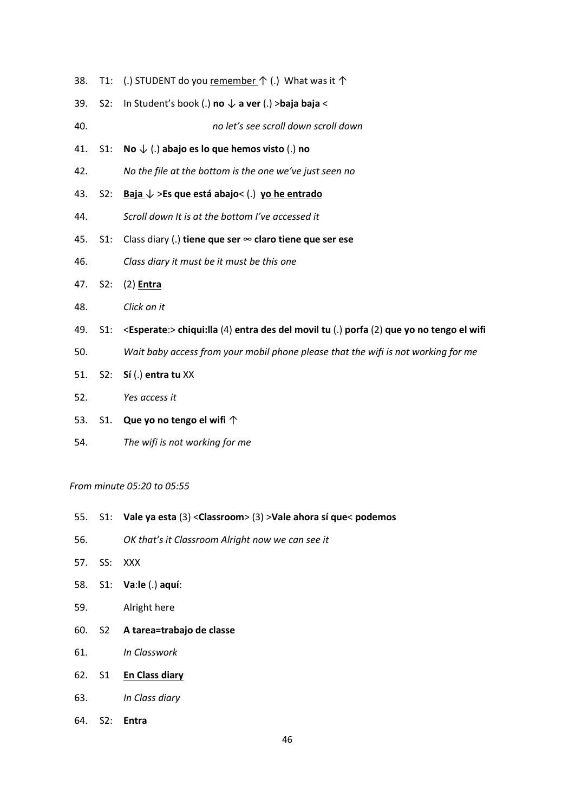- 38. T1: (.) STUDENT do you remember  $\uparrow$  (.) What was it  $\uparrow$
- 39. S2: In Student's book (.) **no** ↓ **a ver** (.) >**baja baja** <
- 40. *no let's see scroll down scroll down*
- 41. S1: **No** ↓ (.) **abajo es lo que hemos visto** (.) **no**
- 42. *No the file at the bottom is the one we've just seen no*
- 43. S2: **Baja** ↓ >**Es que está abajo**< (.) **yo he entrado**
- 44. *Scroll down It is at the bottom I've accessed it*
- 45. S1: Class diary (.) **tiene que ser** ∞ **claro tiene que ser ese**
- 46. *Class diary it must be it must be this one*
- 47. S2: (2) **Entra**
- 48. *Click on it*
- 49. S1: <**Esperate**:> **chiqui:lla** (4) **entra des del movil tu** (.) **porfa** (2) **que yo no tengo el wifi**
- 50. *Wait baby access from your mobil phone please that the wifi is not working for me*
- 51. S2: **Sí** (.) **entra tu** XX
- 52. *Yes access it*
- 53. S1. **Que yo no tengo el wifi** ↑
- 54. *The wifi is not working for me*

#### *From minute 05:20 to 05:55*

- 55. S1: **Vale ya esta** (3) <**Classroom**> (3) >**Vale ahora sí que**< **podemos**
- 56. *OK that's it Classroom Alright now we can see it*
- 57. SS: XXX
- 58. S1: **Va**:**le** (.) **aquí**:
- 59. Alright here
- 60. S2 **A tarea=trabajo de classe**
- 61. *In Classwork*
- 62. S1 **En Class diary**
- 63. *In Class diary*
- 64. S2: **Entra**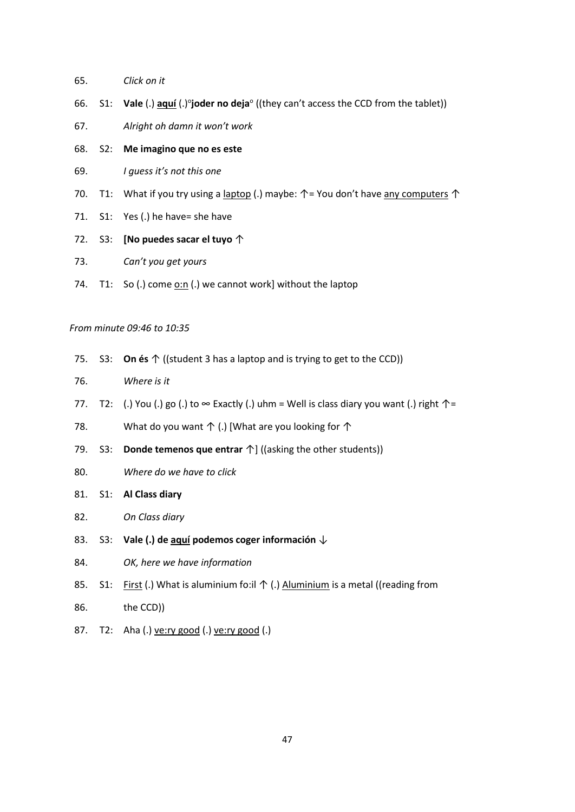- 65. *Click on it*
- 66. S1: **Vale** (.) **aquí** (.)<sup>o</sup>joder no deja<sup>o</sup> ((they can't access the CCD from the tablet))
- 67. *Alright oh damn it won't work*
- 68. S2: **Me imagino que no es este**
- 69. *I guess it's not this one*
- 70. T1: What if you try using a laptop (.) maybe:  $\uparrow$  = You don't have any computers  $\uparrow$
- 71. S1: Yes (.) he have= she have
- 72. S3: **[No puedes sacar el tuyo** ↑
- 73. *Can't you get yours*
- 74.  $T1: So(.)$  come  $o:n()$  we cannot work] without the laptop</u>

#### *From minute 09:46 to 10:35*

- 75. S3: **On és** ↑ ((student 3 has a laptop and is trying to get to the CCD))
- 76. *Where is it*
- 77. T2: (.) You (.) go (.) to  $\infty$  Exactly (.) uhm = Well is class diary you want (.) right  $\uparrow$  =
- 78. What do you want  $\uparrow$  (.) [What are you looking for  $\uparrow$
- 79. S3: **Donde temenos que entrar** ↑] ((asking the other students))
- 80. *Where do we have to click*
- 81. S1: **Al Class diary**
- 82. *On Class diary*
- 83. S3: **Vale (.) de aquí podemos coger información** ↓
- 84. *OK, here we have information*
- 85. S1: First (.) What is aluminium fo:il ↑ (.) Aluminium is a metal ((reading from
- 86. the CCD))
- 87. T2: Aha (.) ve:ry good (.) ve:ry good (.)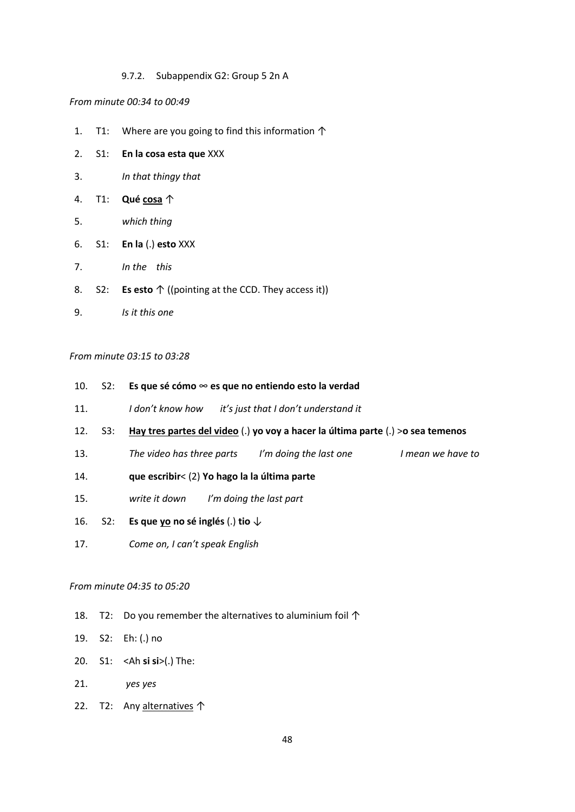# 9.7.2. Subappendix G2: Group 5 2n A

*From minute 00:34 to 00:49*

- 1. T1: Where are you going to find this information ↑
- 2. S1: **En la cosa esta que** XXX
- 3. *In that thingy that*
- 4. T1: **Qué cosa** ↑
- 5. *which thing*
- 6. S1: **En la** (.) **esto** XXX
- 7. *In the this*
- 8. S2: **Es esto** ↑ ((pointing at the CCD. They access it))
- 9. *Is it this one*

# *From minute 03:15 to 03:28*

| 10. |     | S2: Es que sé cómo $\infty$ es que no entiendo esto la verdad                    |
|-----|-----|----------------------------------------------------------------------------------|
| 11. |     | I don't know how<br>it's just that I don't understand it                         |
| 12. | S3: | Hay tres partes del video (.) yo voy a hacer la última parte (.) > o sea temenos |
| 13. |     | The video has three parts<br>I'm doing the last one<br>I mean we have to         |
| 14. |     | que escribir< (2) Yo hago la la última parte                                     |
| 15. |     | write it down<br>I'm doing the last part                                         |
| 16. | S2: | Es que yo no sé inglés (.) tio $\downarrow$                                      |
| 17. |     | Come on, I can't speak English                                                   |

# *From minute 04:35 to 05:20*

- 18. T2: Do you remember the alternatives to aluminium foil  $\uparrow$
- 19. S2: Eh: (.) no
- 20. S1: <Ah **si si**>(.) The:
- 21. *yes yes*
- 22. T2: Any alternatives ↑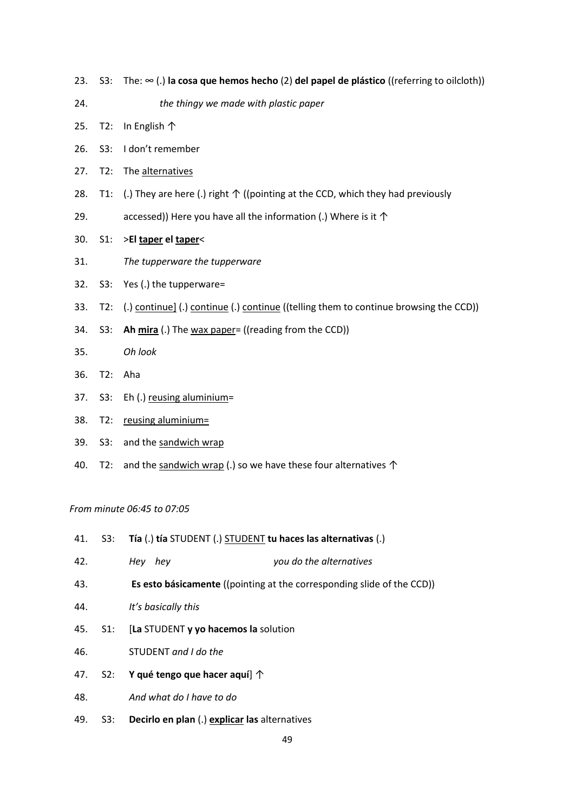- 23. S3: The: ∞ (.) **la cosa que hemos hecho** (2) **del papel de plástico** ((referring to oilcloth))
- 24. *the thingy we made with plastic paper*
- 25. T2: In English ↑
- 26. S3: I don't remember
- 27. T2: The alternatives
- 28. T1: (.) They are here (.) right  $\uparrow$  ((pointing at the CCD, which they had previously
- 29. accessed)) Here you have all the information (.) Where is it  $\uparrow$
- 30. S1: >**El taper el taper**<
- 31. *The tupperware the tupperware*
- 32. S3: Yes (.) the tupperware=
- 33. T2: (.) continue] (.) continue (.) continue ((telling them to continue browsing the CCD))
- 34. S3: **Ah mira** (.) The wax paper= ((reading from the CCD))
- 35. *Oh look*
- 36. T2: Aha
- 37. S3: Eh (.) reusing aluminium=
- 38. T2: reusing aluminium=
- 39. S3: and the sandwich wrap
- 40. T2: and the sandwich wrap (.) so we have these four alternatives  $\uparrow$

#### *From minute 06:45 to 07:05*

- 41. S3: **Tía** (.) **tía** STUDENT (.) STUDENT **tu haces las alternativas** (.)
- 42. *Hey hey you do the alternatives*
- 43. **Es esto básicamente** ((pointing at the corresponding slide of the CCD))
- 44. *It's basically this*
- 45. S1: [**La** STUDENT **y yo hacemos la** solution
- 46. STUDENT *and I do the*
- 47. S2: **Y qué tengo que hacer aquí**] ↑
- 48. *And what do I have to do*
- 49. S3: **Decirlo en plan** (.) **explicar las** alternatives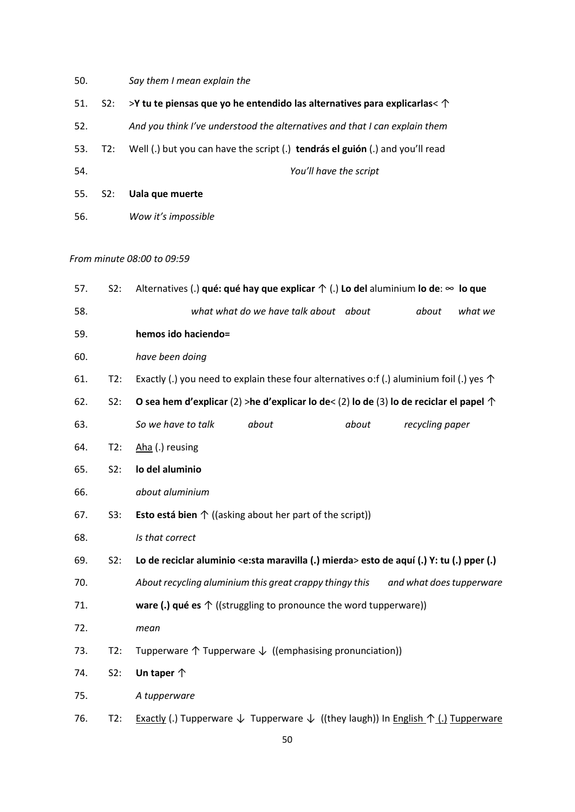| 50. |         | Say them I mean explain the                                                        |
|-----|---------|------------------------------------------------------------------------------------|
| 51. | S2:     | >Y tu te piensas que yo he entendido las alternatives para explicarlas< $\uparrow$ |
| 52. |         | And you think I've understood the alternatives and that I can explain them         |
| 53. | T2:     | Well (.) but you can have the script (.) tendrás el guión (.) and you'll read      |
| 54. |         | You'll have the script                                                             |
|     | 55. S2: | Uala que muerte                                                                    |
| 56. |         | Wow it's impossible                                                                |

# *From minute 08:00 to 09:59*

| 57. | S2: | Alternatives (.) qué: qué hay que explicar $\uparrow$ (.) Lo del aluminium lo de: $\infty$ lo que                      |  |  |  |  |
|-----|-----|------------------------------------------------------------------------------------------------------------------------|--|--|--|--|
| 58. |     | what what do we have talk about about<br>about<br>what we                                                              |  |  |  |  |
| 59. |     | hemos ido haciendo=                                                                                                    |  |  |  |  |
| 60. |     | have been doing                                                                                                        |  |  |  |  |
| 61. | T2: | Exactly (.) you need to explain these four alternatives o:f (.) aluminium foil (.) yes $\uparrow$                      |  |  |  |  |
| 62. | S2: | O sea hem d'explicar (2) >he d'explicar lo de< (2) lo de (3) lo de reciclar el papel $\uparrow$                        |  |  |  |  |
| 63. |     | So we have to talk<br>about<br>about<br>recycling paper                                                                |  |  |  |  |
| 64. | T2: | Aha (.) reusing                                                                                                        |  |  |  |  |
| 65. | S2: | lo del aluminio                                                                                                        |  |  |  |  |
| 66. |     | about aluminium                                                                                                        |  |  |  |  |
| 67. | S3: | <b>Esto está bien</b> $\uparrow$ ((asking about her part of the script))                                               |  |  |  |  |
| 68. |     | Is that correct                                                                                                        |  |  |  |  |
| 69. | S2: | Lo de reciclar aluminio <e:sta (.)="" maravilla="" mierda=""> esto de aquí (.) Y: tu (.) pper (.)</e:sta>              |  |  |  |  |
| 70. |     | About recycling aluminium this great crappy thingy this<br>and what does tupperware                                    |  |  |  |  |
| 71. |     | ware (.) qué es $\uparrow$ ((struggling to pronounce the word tupperware))                                             |  |  |  |  |
| 72. |     | mean                                                                                                                   |  |  |  |  |
| 73. | T2: | Tupperware $\uparrow$ Tupperware $\downarrow$ ((emphasising pronunciation))                                            |  |  |  |  |
| 74. | S2: | Un taper $\uparrow$                                                                                                    |  |  |  |  |
| 75. |     | A tupperware                                                                                                           |  |  |  |  |
| 76. | T2: | <b>Exactly</b> (.) Tupperware $\downarrow$ Tupperware $\downarrow$ ((they laugh)) In English $\uparrow$ (.) Tupperware |  |  |  |  |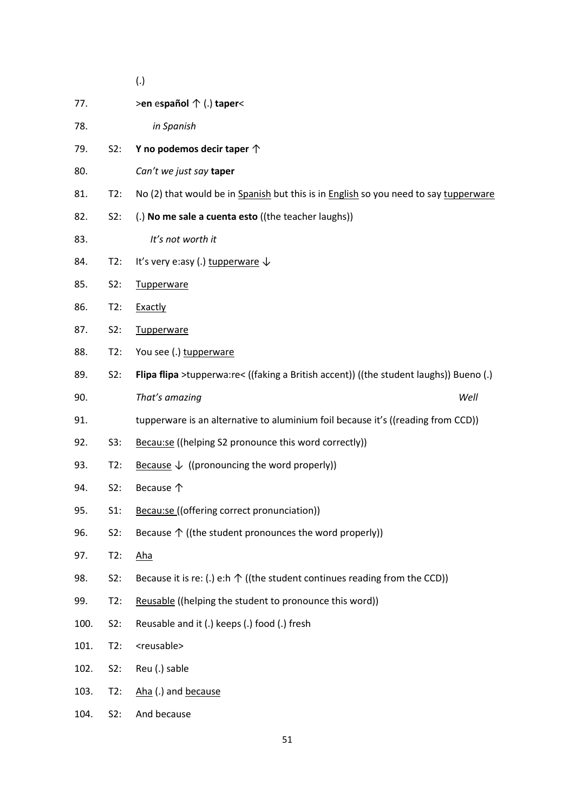|      |     | (.)                                                                                    |
|------|-----|----------------------------------------------------------------------------------------|
| 77.  |     | >en español $\uparrow$ (.) taper<                                                      |
| 78.  |     | in Spanish                                                                             |
| 79.  | S2: | Y no podemos decir taper $\uparrow$                                                    |
| 80.  |     | Can't we just say taper                                                                |
| 81.  | T2: | No (2) that would be in Spanish but this is in English so you need to say tupperware   |
| 82.  | S2: | (.) No me sale a cuenta esto ((the teacher laughs))                                    |
| 83.  |     | It's not worth it                                                                      |
| 84.  | T2: | It's very e:asy (.) tupperware $\downarrow$                                            |
| 85.  | S2: | Tupperware                                                                             |
| 86.  | T2: | Exactly                                                                                |
| 87.  | S2: | <b>Tupperware</b>                                                                      |
| 88.  | T2: | You see (.) tupperware                                                                 |
| 89.  | S2: | Flipa flipa >tupperwa:re< ((faking a British accent)) ((the student laughs)) Bueno (.) |
| 90.  |     | That's amazing<br>Well                                                                 |
| 91.  |     | tupperware is an alternative to aluminium foil because it's ((reading from CCD))       |
| 92.  | S3: | Becau:se ((helping S2 pronounce this word correctly))                                  |
| 93.  | T2: | Because $\downarrow$ ((pronouncing the word properly))                                 |
| 94.  | S2: | Because 个                                                                              |
| 95.  | S1: | Becau:se ((offering correct pronunciation))                                            |
| 96.  | S2: | Because $\uparrow$ ((the student pronounces the word properly))                        |
| 97.  | T2: | <u>Aha</u>                                                                             |
| 98.  | S2: | Because it is re: (.) e:h $\uparrow$ ((the student continues reading from the CCD))    |
| 99.  | T2: | Reusable ((helping the student to pronounce this word))                                |
| 100. | S2: | Reusable and it (.) keeps (.) food (.) fresh                                           |
| 101. | T2: | <reusable></reusable>                                                                  |
| 102. | S2: | Reu (.) sable                                                                          |
| 103. | T2: | Aha (.) and because                                                                    |
| 104. | S2: | And because                                                                            |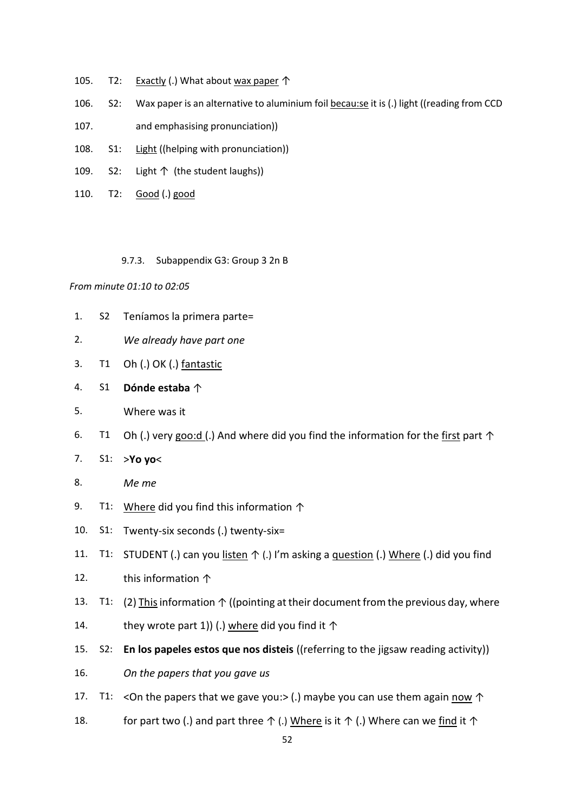- 105. T2: Exactly (.) What about wax paper ↑
- 106. S2: Wax paper is an alternative to aluminium foil becau:se it is (.) light ((reading from CCD
- 107. and emphasising pronunciation))
- 108. S1: Light ((helping with pronunciation))
- 109. S2: Light ↑ (the student laughs))
- 110. T2: Good (.) good

# 9.7.3. Subappendix G3: Group 3 2n B

# *From minute 01:10 to 02:05*

- 1. S2 Teníamos la primera parte=
- 2. *We already have part one*
- 3. T1 Oh (.) OK (.) fantastic
- 4. S1 **Dónde estaba** ↑
- 5. Where was it
- 6. T1 Oh (.) very goo:d (.) And where did you find the information for the first part  $\uparrow$
- 7. S1: >**Yo yo**<
- 8. *Me me*
- 9. T1: Where did you find this information ↑
- 10. S1: Twenty-six seconds (.) twenty-six=
- 11. T1: STUDENT (.) can you listen ↑ (.) I'm asking a question (.) Where (.) did you find
- 12. this information ↑
- 13. T1: (2) This information ↑ ((pointing at their document from the previous day, where
- 14. they wrote part 1)) (.) where did you find it  $\uparrow$
- 15. S2: **En los papeles estos que nos disteis** ((referring to the jigsaw reading activity))
- 16. *On the papers that you gave us*
- 17. T1: < On the papers that we gave you: > (.) may be you can use them again now  $\uparrow$
- 18. for part two (.) and part three  $\uparrow$  (.) Where is it  $\uparrow$  (.) Where can we find it  $\uparrow$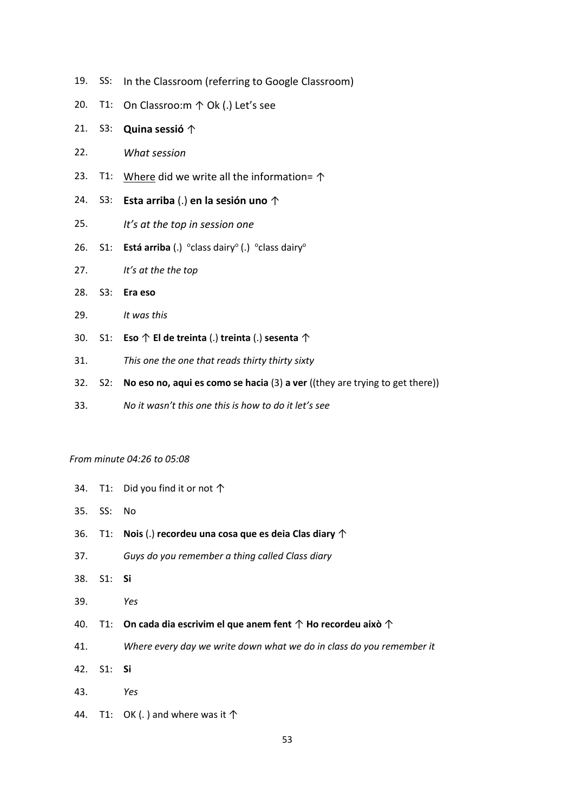- 19. SS: In the Classroom (referring to Google Classroom)
- 20. T1: On Classroo:m ↑ Ok (.) Let's see
- 21. S3: **Quina sessió** ↑
- 22. *What session*
- 23. T1: Where did we write all the information= ↑
- 24. S3: **Esta arriba** (.) **en la sesión uno** ↑
- 25. *It's at the top in session one*
- 26. S1: **Está arriba** (.) <sup>o</sup>class dairy<sup>o</sup> (.) <sup>o</sup>class dairy<sup>o</sup>
- 27. *It's at the the top*
- 28. S3: **Era eso**
- 29. *It was this*
- 30. S1: **Eso** ↑ **El de treinta** (.) **treinta** (.) **sesenta** ↑
- 31. *This one the one that reads thirty thirty sixty*
- 32. S2: **No eso no, aqui es como se hacia** (3) **a ver** ((they are trying to get there))
- 33. *No it wasn't this one this is how to do it let's see*

# *From minute 04:26 to 05:08*

- 34. T1: Did you find it or not ↑
- 35. SS: No
- 36. T1: **Nois** (.) **recordeu una cosa que es deia Clas diary** ↑
- 37. *Guys do you remember a thing called Class diary*
- 38. S1: **Si**
- 39. *Yes*
- 40. T1: **On cada dia escrivim el que anem fent** ↑ **Ho recordeu això** ↑
- 41. *Where every day we write down what we do in class do you remember it*
- 42. S1: **Si**
- 43. *Yes*
- 44. T1: OK (. ) and where was it  $\uparrow$